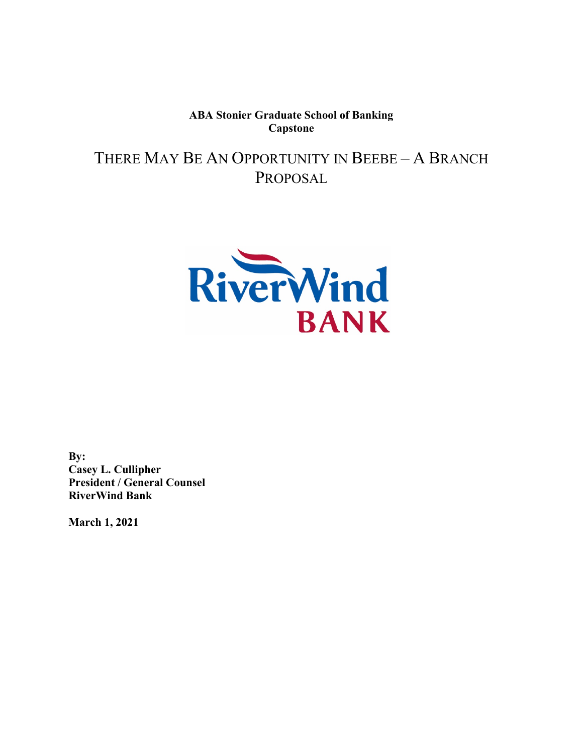**ABA Stonier Graduate School of Banking Capstone**

THERE MAY BE AN OPPORTUNITY IN BEEBE – A BRANCH PROPOSAL



**By: Casey L. Cullipher President / General Counsel RiverWind Bank**

**March 1, 2021**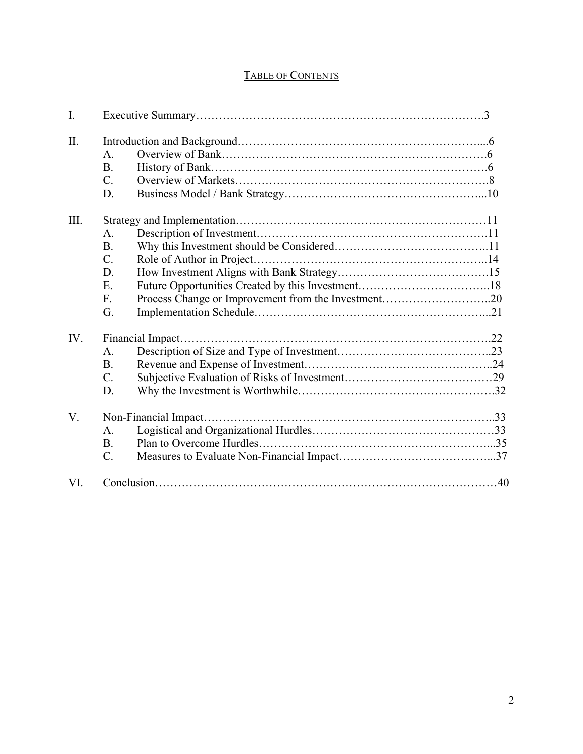## TABLE OF CONTENTS

| $\mathbf{I}$ . |                |  |
|----------------|----------------|--|
| II.            |                |  |
|                | $\mathsf{A}$ . |  |
|                | <b>B.</b>      |  |
|                | $C_{\cdot}$    |  |
|                | D.             |  |
| III.           |                |  |
|                | A.             |  |
|                | <b>B.</b>      |  |
|                | $C_{\cdot}$    |  |
|                | D.             |  |
|                | E.             |  |
|                | F.             |  |
|                | G.             |  |
| IV.            |                |  |
|                | A.             |  |
|                | <b>B.</b>      |  |
|                | C.             |  |
|                | D.             |  |
| V.             |                |  |
|                | A.             |  |
|                | <b>B.</b>      |  |
|                | $C_{\cdot}$    |  |
| VI.            |                |  |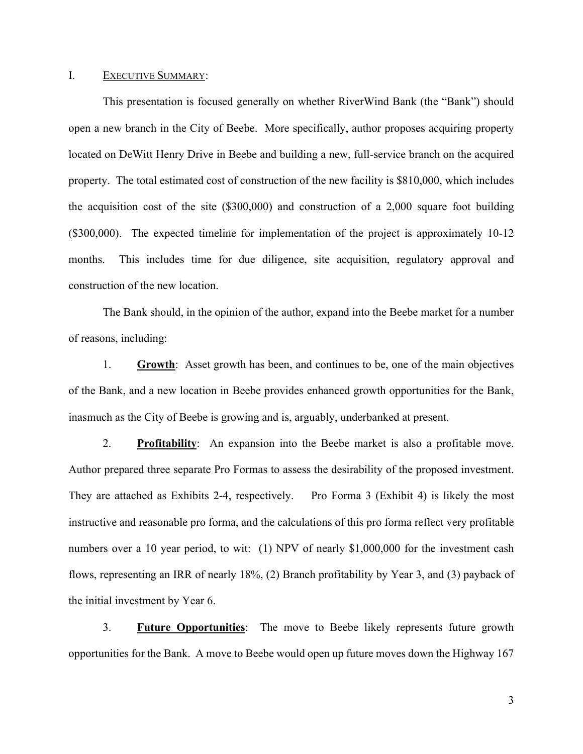#### I. **EXECUTIVE SUMMARY:**

This presentation is focused generally on whether RiverWind Bank (the "Bank") should open a new branch in the City of Beebe. More specifically, author proposes acquiring property located on DeWitt Henry Drive in Beebe and building a new, full-service branch on the acquired property. The total estimated cost of construction of the new facility is \$810,000, which includes the acquisition cost of the site (\$300,000) and construction of a 2,000 square foot building (\$300,000). The expected timeline for implementation of the project is approximately 10-12 months. This includes time for due diligence, site acquisition, regulatory approval and construction of the new location.

The Bank should, in the opinion of the author, expand into the Beebe market for a number of reasons, including:

1. **Growth**: Asset growth has been, and continues to be, one of the main objectives of the Bank, and a new location in Beebe provides enhanced growth opportunities for the Bank, inasmuch as the City of Beebe is growing and is, arguably, underbanked at present.

2. **Profitability**: An expansion into the Beebe market is also a profitable move. Author prepared three separate Pro Formas to assess the desirability of the proposed investment. They are attached as Exhibits 2-4, respectively. Pro Forma 3 (Exhibit 4) is likely the most instructive and reasonable pro forma, and the calculations of this pro forma reflect very profitable numbers over a 10 year period, to wit: (1) NPV of nearly \$1,000,000 for the investment cash flows, representing an IRR of nearly 18%, (2) Branch profitability by Year 3, and (3) payback of the initial investment by Year 6.

3. **Future Opportunities**: The move to Beebe likely represents future growth opportunities for the Bank. A move to Beebe would open up future moves down the Highway 167

3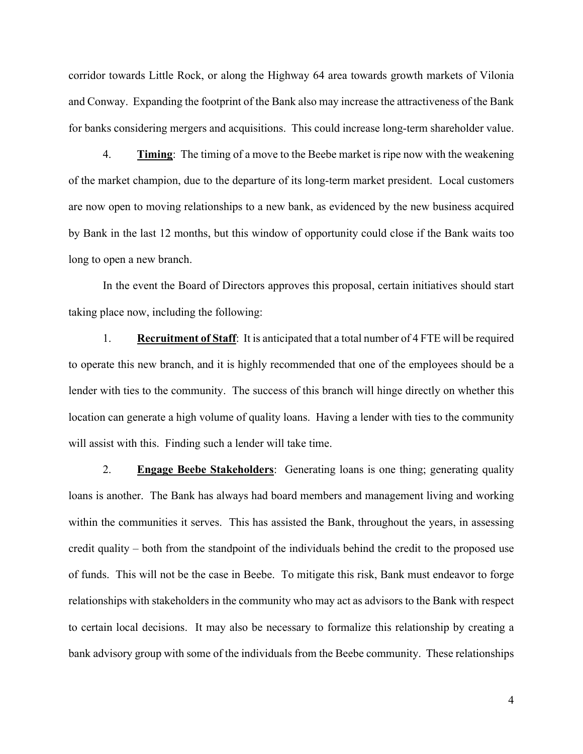corridor towards Little Rock, or along the Highway 64 area towards growth markets of Vilonia and Conway. Expanding the footprint of the Bank also may increase the attractiveness of the Bank for banks considering mergers and acquisitions. This could increase long-term shareholder value.

4. **Timing**: The timing of a move to the Beebe market is ripe now with the weakening of the market champion, due to the departure of its long-term market president. Local customers are now open to moving relationships to a new bank, as evidenced by the new business acquired by Bank in the last 12 months, but this window of opportunity could close if the Bank waits too long to open a new branch.

In the event the Board of Directors approves this proposal, certain initiatives should start taking place now, including the following:

1. **Recruitment of Staff**: It is anticipated that a total number of 4 FTE will be required to operate this new branch, and it is highly recommended that one of the employees should be a lender with ties to the community. The success of this branch will hinge directly on whether this location can generate a high volume of quality loans. Having a lender with ties to the community will assist with this. Finding such a lender will take time.

2. **Engage Beebe Stakeholders**: Generating loans is one thing; generating quality loans is another. The Bank has always had board members and management living and working within the communities it serves. This has assisted the Bank, throughout the years, in assessing credit quality – both from the standpoint of the individuals behind the credit to the proposed use of funds. This will not be the case in Beebe. To mitigate this risk, Bank must endeavor to forge relationships with stakeholders in the community who may act as advisors to the Bank with respect to certain local decisions. It may also be necessary to formalize this relationship by creating a bank advisory group with some of the individuals from the Beebe community. These relationships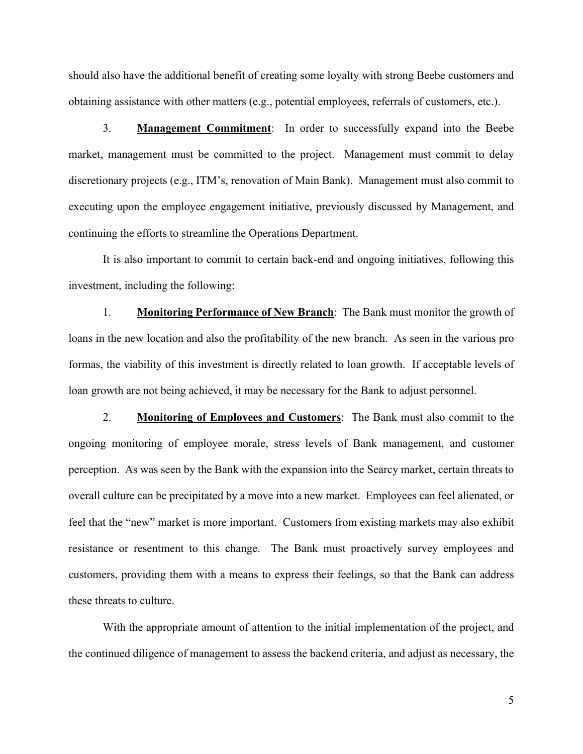should also have the additional benefit of creating some loyalty with strong Beebe customers and obtaining assistance with other matters (e.g., potential employees, referrals of customers, etc.).

3. **Management Commitment**: In order to successfully expand into the Beebe market, management must be committed to the project. Management must commit to delay discretionary projects (e.g., ITM's, renovation of Main Bank). Management must also commit to executing upon the employee engagement initiative, previously discussed by Management, and continuing the efforts to streamline the Operations Department.

It is also important to commit to certain back-end and ongoing initiatives, following this investment, including the following:

1. **Monitoring Performance of New Branch**: The Bank must monitor the growth of loans in the new location and also the profitability of the new branch. As seen in the various pro formas, the viability of this investment is directly related to loan growth. If acceptable levels of loan growth are not being achieved, it may be necessary for the Bank to adjust personnel.

2. **Monitoring of Employees and Customers**: The Bank must also commit to the ongoing monitoring of employee morale, stress levels of Bank management, and customer perception. As was seen by the Bank with the expansion into the Searcy market, certain threats to overall culture can be precipitated by a move into a new market. Employees can feel alienated, or feel that the "new" market is more important. Customers from existing markets may also exhibit resistance or resentment to this change. The Bank must proactively survey employees and customers, providing them with a means to express their feelings, so that the Bank can address these threats to culture.

With the appropriate amount of attention to the initial implementation of the project, and the continued diligence of management to assess the backend criteria, and adjust as necessary, the

5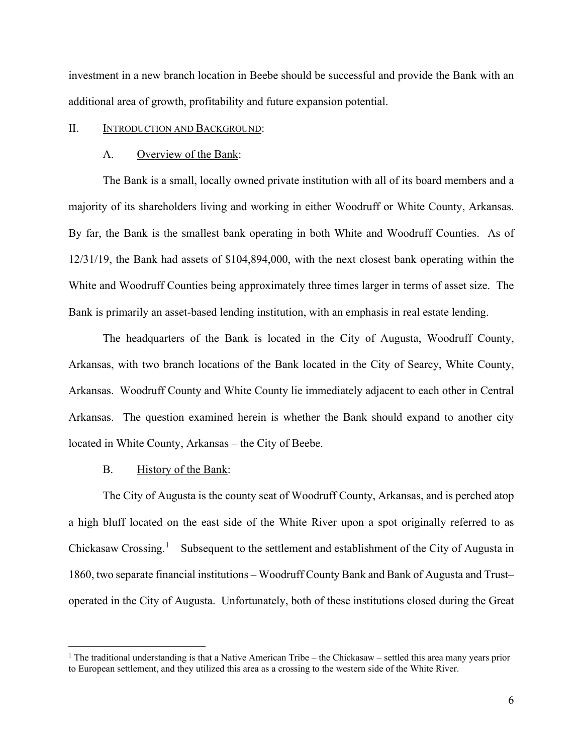investment in a new branch location in Beebe should be successful and provide the Bank with an additional area of growth, profitability and future expansion potential.

#### II. INTRODUCTION AND BACKGROUND:

#### A. Overview of the Bank:

The Bank is a small, locally owned private institution with all of its board members and a majority of its shareholders living and working in either Woodruff or White County, Arkansas. By far, the Bank is the smallest bank operating in both White and Woodruff Counties. As of 12/31/19, the Bank had assets of \$104,894,000, with the next closest bank operating within the White and Woodruff Counties being approximately three times larger in terms of asset size. The Bank is primarily an asset-based lending institution, with an emphasis in real estate lending.

The headquarters of the Bank is located in the City of Augusta, Woodruff County, Arkansas, with two branch locations of the Bank located in the City of Searcy, White County, Arkansas. Woodruff County and White County lie immediately adjacent to each other in Central Arkansas. The question examined herein is whether the Bank should expand to another city located in White County, Arkansas – the City of Beebe.

#### B. History of the Bank:

The City of Augusta is the county seat of Woodruff County, Arkansas, and is perched atop a high bluff located on the east side of the White River upon a spot originally referred to as Chickasaw Crossing.<sup>[1](#page-5-0)</sup> Subsequent to the settlement and establishment of the City of Augusta in 1860, two separate financial institutions – Woodruff County Bank and Bank of Augusta and Trust– operated in the City of Augusta. Unfortunately, both of these institutions closed during the Great

<span id="page-5-0"></span><sup>&</sup>lt;sup>1</sup> The traditional understanding is that a Native American Tribe – the Chickasaw – settled this area many years prior to European settlement, and they utilized this area as a crossing to the western side of the White River.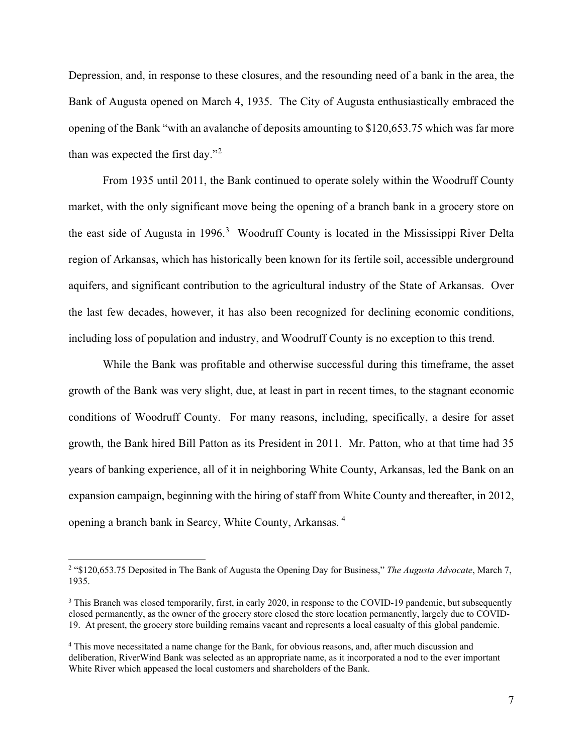Depression, and, in response to these closures, and the resounding need of a bank in the area, the Bank of Augusta opened on March 4, 1935. The City of Augusta enthusiastically embraced the opening of the Bank "with an avalanche of deposits amounting to \$120,653.75 which was far more than was expected the first day."<sup>[2](#page-6-0)</sup>

From 1935 until 2011, the Bank continued to operate solely within the Woodruff County market, with the only significant move being the opening of a branch bank in a grocery store on the east side of Augusta in 1996. [3](#page-6-1) Woodruff County is located in the Mississippi River Delta region of Arkansas, which has historically been known for its fertile soil, accessible underground aquifers, and significant contribution to the agricultural industry of the State of Arkansas. Over the last few decades, however, it has also been recognized for declining economic conditions, including loss of population and industry, and Woodruff County is no exception to this trend.

While the Bank was profitable and otherwise successful during this timeframe, the asset growth of the Bank was very slight, due, at least in part in recent times, to the stagnant economic conditions of Woodruff County. For many reasons, including, specifically, a desire for asset growth, the Bank hired Bill Patton as its President in 2011. Mr. Patton, who at that time had 35 years of banking experience, all of it in neighboring White County, Arkansas, led the Bank on an expansion campaign, beginning with the hiring of staff from White County and thereafter, in 2012, opening a branch bank in Searcy, White County, Arkansas. [4](#page-6-2)

<span id="page-6-0"></span><sup>2</sup> "\$120,653.75 Deposited in The Bank of Augusta the Opening Day for Business," *The Augusta Advocate*, March 7, 1935.

<span id="page-6-1"></span><sup>&</sup>lt;sup>3</sup> This Branch was closed temporarily, first, in early 2020, in response to the COVID-19 pandemic, but subsequently closed permanently, as the owner of the grocery store closed the store location permanently, largely due to COVID-19. At present, the grocery store building remains vacant and represents a local casualty of this global pandemic.

<span id="page-6-2"></span><sup>4</sup> This move necessitated a name change for the Bank, for obvious reasons, and, after much discussion and deliberation, RiverWind Bank was selected as an appropriate name, as it incorporated a nod to the ever important White River which appeased the local customers and shareholders of the Bank.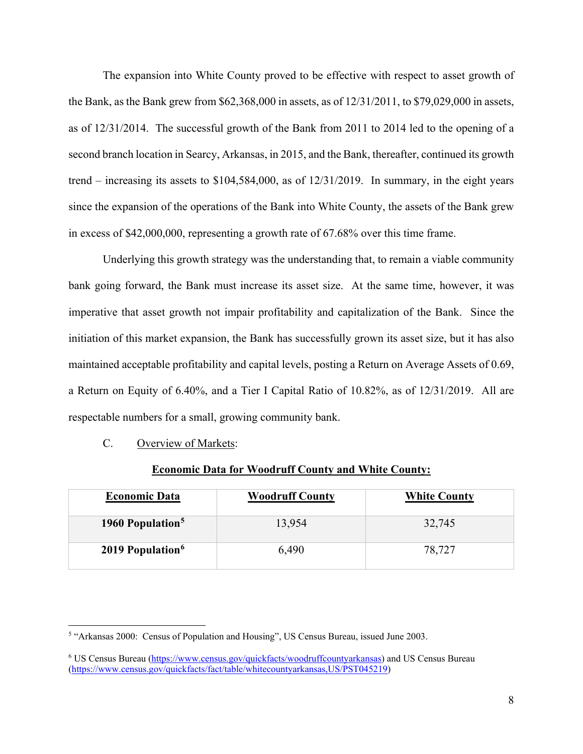The expansion into White County proved to be effective with respect to asset growth of the Bank, as the Bank grew from \$62,368,000 in assets, as of 12/31/2011, to \$79,029,000 in assets, as of 12/31/2014. The successful growth of the Bank from 2011 to 2014 led to the opening of a second branch location in Searcy, Arkansas, in 2015, and the Bank, thereafter, continued its growth trend – increasing its assets to \$104,584,000, as of 12/31/2019. In summary, in the eight years since the expansion of the operations of the Bank into White County, the assets of the Bank grew in excess of \$42,000,000, representing a growth rate of 67.68% over this time frame.

Underlying this growth strategy was the understanding that, to remain a viable community bank going forward, the Bank must increase its asset size. At the same time, however, it was imperative that asset growth not impair profitability and capitalization of the Bank. Since the initiation of this market expansion, the Bank has successfully grown its asset size, but it has also maintained acceptable profitability and capital levels, posting a Return on Average Assets of 0.69, a Return on Equity of 6.40%, and a Tier I Capital Ratio of 10.82%, as of 12/31/2019. All are respectable numbers for a small, growing community bank.

C. Overview of Markets:

| <b>Economic Data</b>         | <b>Woodruff County</b> | <b>White County</b> |
|------------------------------|------------------------|---------------------|
| 1960 Population <sup>5</sup> | 13,954                 | 32,745              |
| 2019 Population <sup>6</sup> | 6,490                  | 78,727              |

#### **Economic Data for Woodruff County and White County:**

<span id="page-7-0"></span><sup>5</sup> "Arkansas 2000: Census of Population and Housing", US Census Bureau, issued June 2003.

<span id="page-7-1"></span><sup>6</sup> US Census Bureau [\(https://www.census.gov/quickfacts/woodruffcountyarkansas\)](https://www.census.gov/quickfacts/woodruffcountyarkansas) and US Census Bureau [\(https://www.census.gov/quickfacts/fact/table/whitecountyarkansas,US/PST045219\)](https://www.census.gov/quickfacts/fact/table/whitecountyarkansas,US/PST045219)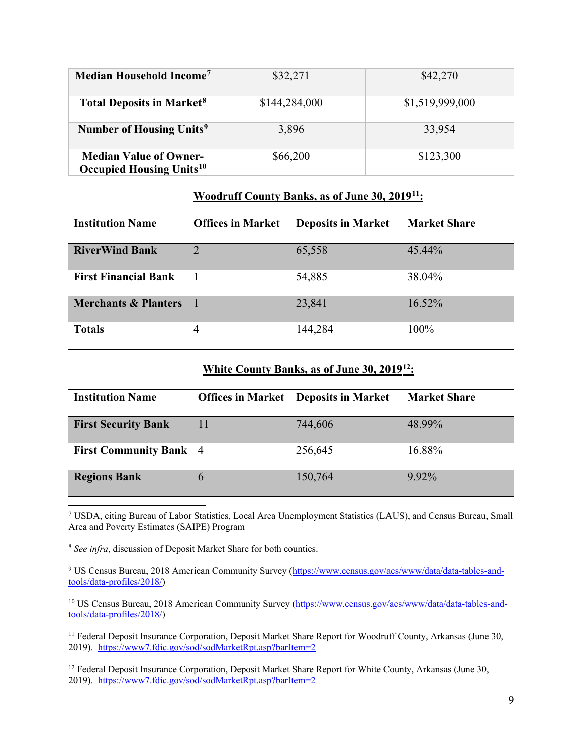| Median Household Income <sup>7</sup>                                        | \$32,271      | \$42,270        |  |
|-----------------------------------------------------------------------------|---------------|-----------------|--|
| <b>Total Deposits in Market<sup>8</sup></b>                                 | \$144,284,000 | \$1,519,999,000 |  |
| Number of Housing Units <sup>9</sup>                                        | 3,896         | 33,954          |  |
| <b>Median Value of Owner-</b><br><b>Occupied Housing Units<sup>10</sup></b> | \$66,200      | \$123,300       |  |

## **Woodruff County Banks, as of June 30, 2019[11:](#page-8-4)**

| <b>Institution Name</b>         | <b>Offices in Market</b> | <b>Deposits in Market</b> | <b>Market Share</b> |
|---------------------------------|--------------------------|---------------------------|---------------------|
| <b>RiverWind Bank</b>           | 2                        | 65,558                    | 45.44%              |
| <b>First Financial Bank</b>     |                          | 54,885                    | 38.04%              |
| <b>Merchants &amp; Planters</b> | - 1                      | 23,841                    | 16.52%              |
| <b>Totals</b>                   | 4                        | 144,284                   | $100\%$             |

# **White County Banks, as of June 30, 2019[12](#page-8-5):**

| <b>Institution Name</b>       |   | <b>Offices in Market</b> Deposits in Market | <b>Market Share</b> |
|-------------------------------|---|---------------------------------------------|---------------------|
| <b>First Security Bank</b>    |   | 744,606                                     | 48.99%              |
| <b>First Community Bank</b> 4 |   | 256,645                                     | 16.88%              |
| <b>Regions Bank</b>           | 6 | 150,764                                     | $9.92\%$            |

<span id="page-8-0"></span><sup>7</sup> USDA, citing Bureau of Labor Statistics, Local Area Unemployment Statistics (LAUS), and Census Bureau, Small Area and Poverty Estimates (SAIPE) Program

<span id="page-8-1"></span><sup>8</sup> *See infra*, discussion of Deposit Market Share for both counties.

<span id="page-8-2"></span><sup>9</sup> US Census Bureau, 2018 American Community Survey [\(https://www.census.gov/acs/www/data/data-tables-and](https://www.census.gov/acs/www/data/data-tables-and-tools/data-profiles/2018/)[tools/data-profiles/2018/\)](https://www.census.gov/acs/www/data/data-tables-and-tools/data-profiles/2018/)

<span id="page-8-3"></span><sup>10</sup> US Census Bureau, 2018 American Community Survey [\(https://www.census.gov/acs/www/data/data-tables-and](https://www.census.gov/acs/www/data/data-tables-and-tools/data-profiles/2018/)[tools/data-profiles/2018/\)](https://www.census.gov/acs/www/data/data-tables-and-tools/data-profiles/2018/)

<span id="page-8-4"></span><sup>11</sup> Federal Deposit Insurance Corporation, Deposit Market Share Report for Woodruff County, Arkansas (June 30, 2019). <https://www7.fdic.gov/sod/sodMarketRpt.asp?barItem=2>

<span id="page-8-5"></span><sup>12</sup> Federal Deposit Insurance Corporation, Deposit Market Share Report for White County, Arkansas (June 30, 2019). <https://www7.fdic.gov/sod/sodMarketRpt.asp?barItem=2>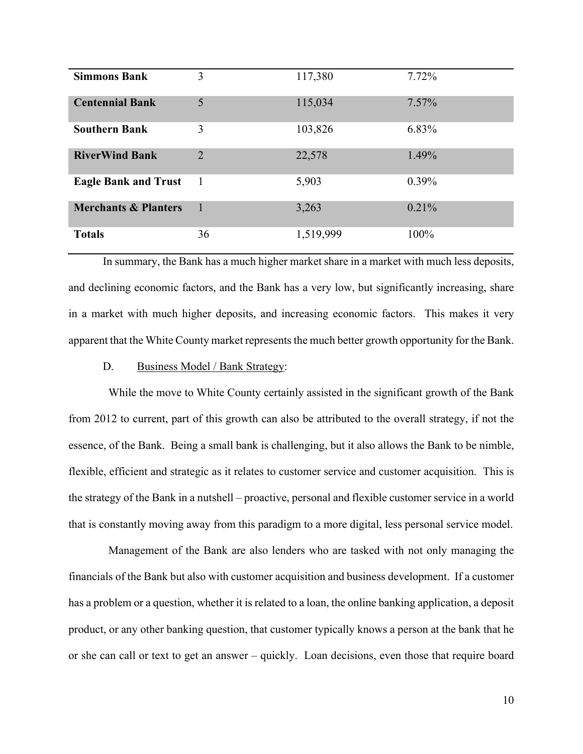| <b>Simmons Bank</b>             | 3              | 117,380   | 7.72%    |
|---------------------------------|----------------|-----------|----------|
| <b>Centennial Bank</b>          | 5              | 115,034   | $7.57\%$ |
| <b>Southern Bank</b>            | 3              | 103,826   | 6.83%    |
| <b>RiverWind Bank</b>           | $\overline{2}$ | 22,578    | 1.49%    |
| <b>Eagle Bank and Trust</b>     | 1              | 5,903     | $0.39\%$ |
| <b>Merchants &amp; Planters</b> | $\mathbf{1}$   | 3,263     | 0.21%    |
| <b>Totals</b>                   | 36             | 1,519,999 | 100%     |

In summary, the Bank has a much higher market share in a market with much less deposits, and declining economic factors, and the Bank has a very low, but significantly increasing, share in a market with much higher deposits, and increasing economic factors. This makes it very apparent that the White County market represents the much better growth opportunity for the Bank.

## D. Business Model / Bank Strategy:

 While the move to White County certainly assisted in the significant growth of the Bank from 2012 to current, part of this growth can also be attributed to the overall strategy, if not the essence, of the Bank. Being a small bank is challenging, but it also allows the Bank to be nimble, flexible, efficient and strategic as it relates to customer service and customer acquisition. This is the strategy of the Bank in a nutshell – proactive, personal and flexible customer service in a world that is constantly moving away from this paradigm to a more digital, less personal service model.

 Management of the Bank are also lenders who are tasked with not only managing the financials of the Bank but also with customer acquisition and business development. If a customer has a problem or a question, whether it is related to a loan, the online banking application, a deposit product, or any other banking question, that customer typically knows a person at the bank that he or she can call or text to get an answer – quickly. Loan decisions, even those that require board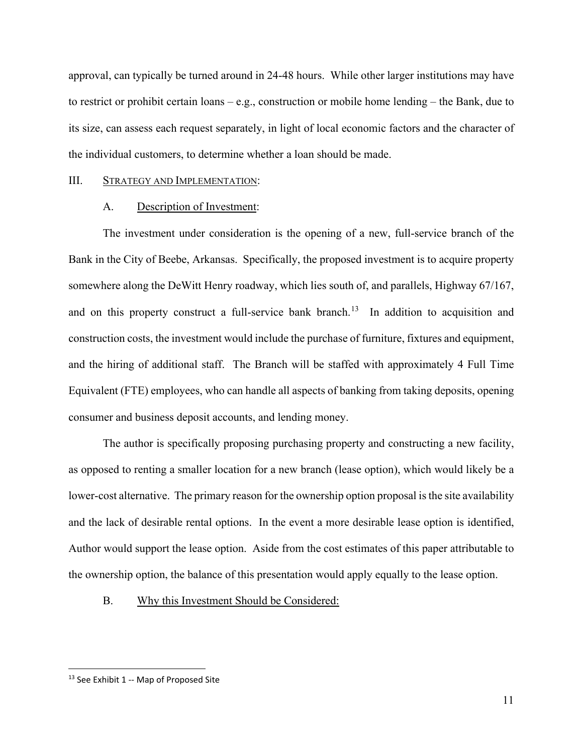approval, can typically be turned around in 24-48 hours. While other larger institutions may have to restrict or prohibit certain loans – e.g., construction or mobile home lending – the Bank, due to its size, can assess each request separately, in light of local economic factors and the character of the individual customers, to determine whether a loan should be made.

#### III. STRATEGY AND IMPLEMENTATION:

#### A. Description of Investment:

The investment under consideration is the opening of a new, full-service branch of the Bank in the City of Beebe, Arkansas. Specifically, the proposed investment is to acquire property somewhere along the DeWitt Henry roadway, which lies south of, and parallels, Highway 67/167, and on this property construct a full-service bank branch.<sup>13</sup> In addition to acquisition and construction costs, the investment would include the purchase of furniture, fixtures and equipment, and the hiring of additional staff. The Branch will be staffed with approximately 4 Full Time Equivalent (FTE) employees, who can handle all aspects of banking from taking deposits, opening consumer and business deposit accounts, and lending money.

The author is specifically proposing purchasing property and constructing a new facility, as opposed to renting a smaller location for a new branch (lease option), which would likely be a lower-cost alternative. The primary reason for the ownership option proposal is the site availability and the lack of desirable rental options. In the event a more desirable lease option is identified, Author would support the lease option. Aside from the cost estimates of this paper attributable to the ownership option, the balance of this presentation would apply equally to the lease option.

#### B. Why this Investment Should be Considered:

<span id="page-10-0"></span><sup>&</sup>lt;sup>13</sup> See Exhibit 1 -- Map of Proposed Site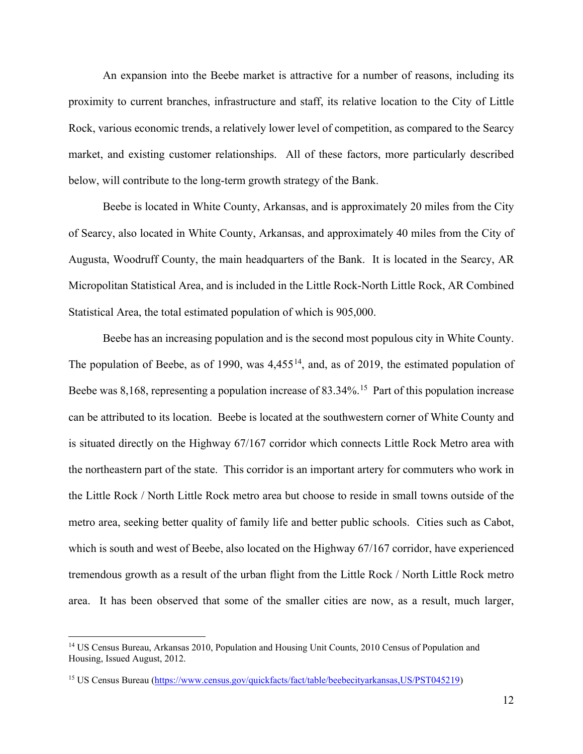An expansion into the Beebe market is attractive for a number of reasons, including its proximity to current branches, infrastructure and staff, its relative location to the City of Little Rock, various economic trends, a relatively lower level of competition, as compared to the Searcy market, and existing customer relationships. All of these factors, more particularly described below, will contribute to the long-term growth strategy of the Bank.

Beebe is located in White County, Arkansas, and is approximately 20 miles from the City of Searcy, also located in White County, Arkansas, and approximately 40 miles from the City of Augusta, Woodruff County, the main headquarters of the Bank. It is located in the Searcy, AR Micropolitan Statistical Area, and is included in the Little Rock-North Little Rock, AR Combined Statistical Area, the total estimated population of which is 905,000.

Beebe has an increasing population and is the second most populous city in White County. The population of Beebe, as of 1990, was  $4,455^{14}$ , and, as of 2019, the estimated population of Beebe was 8,168, representing a population increase of 83.34%.<sup>[15](#page-11-1)</sup> Part of this population increase can be attributed to its location. Beebe is located at the southwestern corner of White County and is situated directly on the Highway 67/167 corridor which connects Little Rock Metro area with the northeastern part of the state. This corridor is an important artery for commuters who work in the Little Rock / North Little Rock metro area but choose to reside in small towns outside of the metro area, seeking better quality of family life and better public schools. Cities such as Cabot, which is south and west of Beebe, also located on the Highway 67/167 corridor, have experienced tremendous growth as a result of the urban flight from the Little Rock / North Little Rock metro area. It has been observed that some of the smaller cities are now, as a result, much larger,

<span id="page-11-0"></span><sup>&</sup>lt;sup>14</sup> US Census Bureau, Arkansas 2010, Population and Housing Unit Counts, 2010 Census of Population and Housing, Issued August, 2012.

<span id="page-11-1"></span><sup>15</sup> US Census Bureau [\(https://www.census.gov/quickfacts/fact/table/beebecityarkansas,US/PST045219\)](https://www.census.gov/quickfacts/fact/table/beebecityarkansas,US/PST045219)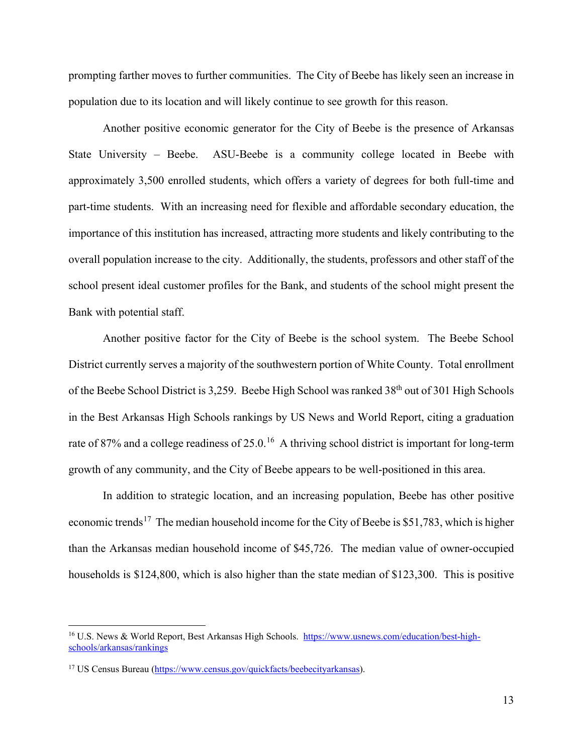prompting farther moves to further communities. The City of Beebe has likely seen an increase in population due to its location and will likely continue to see growth for this reason.

Another positive economic generator for the City of Beebe is the presence of Arkansas State University – Beebe. ASU-Beebe is a community college located in Beebe with approximately 3,500 enrolled students, which offers a variety of degrees for both full-time and part-time students. With an increasing need for flexible and affordable secondary education, the importance of this institution has increased, attracting more students and likely contributing to the overall population increase to the city. Additionally, the students, professors and other staff of the school present ideal customer profiles for the Bank, and students of the school might present the Bank with potential staff.

Another positive factor for the City of Beebe is the school system. The Beebe School District currently serves a majority of the southwestern portion of White County. Total enrollment of the Beebe School District is 3,259. Beebe High School was ranked 38<sup>th</sup> out of 301 High Schools in the Best Arkansas High Schools rankings by US News and World Report, citing a graduation rate of 87% and a college readiness of 25.0.<sup>[16](#page-12-0)</sup> A thriving school district is important for long-term growth of any community, and the City of Beebe appears to be well-positioned in this area.

In addition to strategic location, and an increasing population, Beebe has other positive economic trends<sup>17</sup> The median household income for the City of Beebe is \$51,783, which is higher than the Arkansas median household income of \$45,726. The median value of owner-occupied households is \$124,800, which is also higher than the state median of \$123,300. This is positive

<span id="page-12-0"></span><sup>16</sup> U.S. News & World Report, Best Arkansas High Schools. [https://www.usnews.com/education/best-high](https://www.usnews.com/education/best-high-schools/arkansas/rankings)[schools/arkansas/rankings](https://www.usnews.com/education/best-high-schools/arkansas/rankings)

<span id="page-12-1"></span><sup>17</sup> US Census Bureau [\(https://www.census.gov/quickfacts/beebecityarkansas\)](https://www.census.gov/quickfacts/beebecityarkansas).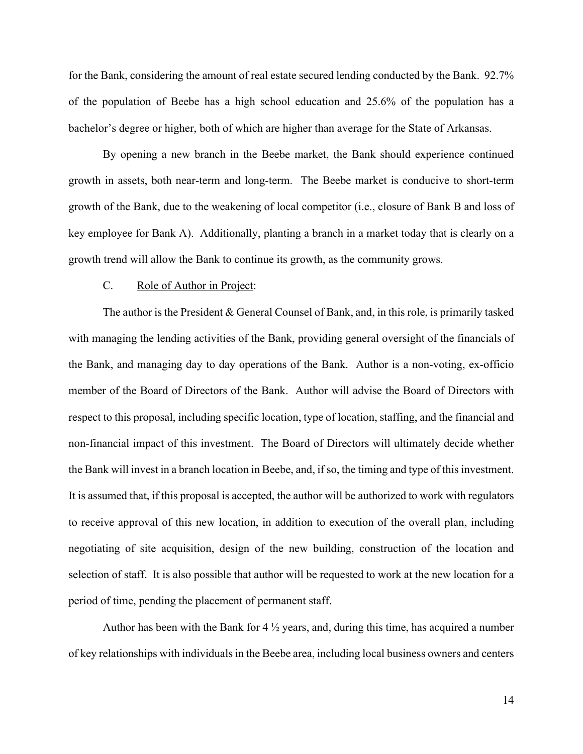for the Bank, considering the amount of real estate secured lending conducted by the Bank. 92.7% of the population of Beebe has a high school education and 25.6% of the population has a bachelor's degree or higher, both of which are higher than average for the State of Arkansas.

By opening a new branch in the Beebe market, the Bank should experience continued growth in assets, both near-term and long-term. The Beebe market is conducive to short-term growth of the Bank, due to the weakening of local competitor (i.e., closure of Bank B and loss of key employee for Bank A). Additionally, planting a branch in a market today that is clearly on a growth trend will allow the Bank to continue its growth, as the community grows.

#### C. Role of Author in Project:

The author is the President & General Counsel of Bank, and, in this role, is primarily tasked with managing the lending activities of the Bank, providing general oversight of the financials of the Bank, and managing day to day operations of the Bank. Author is a non-voting, ex-officio member of the Board of Directors of the Bank. Author will advise the Board of Directors with respect to this proposal, including specific location, type of location, staffing, and the financial and non-financial impact of this investment. The Board of Directors will ultimately decide whether the Bank will invest in a branch location in Beebe, and, if so, the timing and type of this investment. It is assumed that, if this proposal is accepted, the author will be authorized to work with regulators to receive approval of this new location, in addition to execution of the overall plan, including negotiating of site acquisition, design of the new building, construction of the location and selection of staff. It is also possible that author will be requested to work at the new location for a period of time, pending the placement of permanent staff.

Author has been with the Bank for  $4\frac{1}{2}$  years, and, during this time, has acquired a number of key relationships with individuals in the Beebe area, including local business owners and centers

14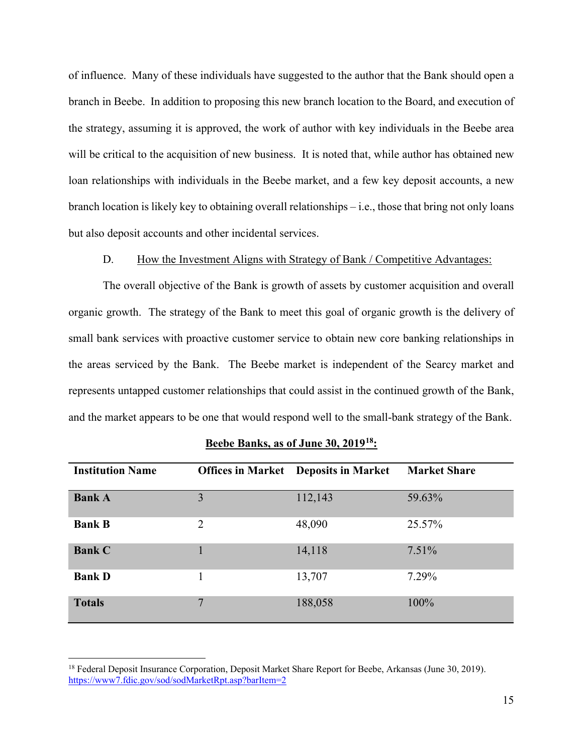of influence. Many of these individuals have suggested to the author that the Bank should open a branch in Beebe. In addition to proposing this new branch location to the Board, and execution of the strategy, assuming it is approved, the work of author with key individuals in the Beebe area will be critical to the acquisition of new business. It is noted that, while author has obtained new loan relationships with individuals in the Beebe market, and a few key deposit accounts, a new branch location is likely key to obtaining overall relationships – i.e., those that bring not only loans but also deposit accounts and other incidental services.

#### D. How the Investment Aligns with Strategy of Bank / Competitive Advantages:

The overall objective of the Bank is growth of assets by customer acquisition and overall organic growth. The strategy of the Bank to meet this goal of organic growth is the delivery of small bank services with proactive customer service to obtain new core banking relationships in the areas serviced by the Bank. The Beebe market is independent of the Searcy market and represents untapped customer relationships that could assist in the continued growth of the Bank, and the market appears to be one that would respond well to the small-bank strategy of the Bank.

| <b>Institution Name</b> |                | <b>Offices in Market</b> Deposits in Market | <b>Market Share</b> |
|-------------------------|----------------|---------------------------------------------|---------------------|
| <b>Bank A</b>           | 3              | 112,143                                     | 59.63%              |
| <b>Bank B</b>           | $\overline{2}$ | 48,090                                      | 25.57%              |
| <b>Bank C</b>           |                | 14,118                                      | $7.51\%$            |
| <b>Bank D</b>           |                | 13,707                                      | 7.29%               |
| <b>Totals</b>           | 7              | 188,058                                     | 100%                |

#### **Beebe Banks, as of June 30, 2019[18](#page-14-0):**

<span id="page-14-0"></span><sup>&</sup>lt;sup>18</sup> Federal Deposit Insurance Corporation, Deposit Market Share Report for Beebe, Arkansas (June 30, 2019). <https://www7.fdic.gov/sod/sodMarketRpt.asp?barItem=2>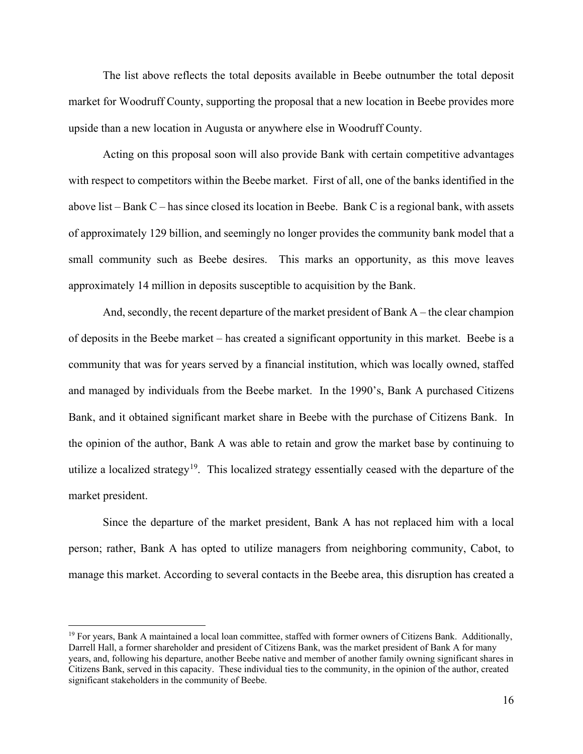The list above reflects the total deposits available in Beebe outnumber the total deposit market for Woodruff County, supporting the proposal that a new location in Beebe provides more upside than a new location in Augusta or anywhere else in Woodruff County.

Acting on this proposal soon will also provide Bank with certain competitive advantages with respect to competitors within the Beebe market. First of all, one of the banks identified in the above list – Bank C – has since closed its location in Beebe. Bank C is a regional bank, with assets of approximately 129 billion, and seemingly no longer provides the community bank model that a small community such as Beebe desires. This marks an opportunity, as this move leaves approximately 14 million in deposits susceptible to acquisition by the Bank.

And, secondly, the recent departure of the market president of Bank A – the clear champion of deposits in the Beebe market – has created a significant opportunity in this market. Beebe is a community that was for years served by a financial institution, which was locally owned, staffed and managed by individuals from the Beebe market. In the 1990's, Bank A purchased Citizens Bank, and it obtained significant market share in Beebe with the purchase of Citizens Bank. In the opinion of the author, Bank A was able to retain and grow the market base by continuing to utilize a localized strategy<sup>19</sup>. This localized strategy essentially ceased with the departure of the market president.

Since the departure of the market president, Bank A has not replaced him with a local person; rather, Bank A has opted to utilize managers from neighboring community, Cabot, to manage this market. According to several contacts in the Beebe area, this disruption has created a

<span id="page-15-0"></span> $19$  For years, Bank A maintained a local loan committee, staffed with former owners of Citizens Bank. Additionally, Darrell Hall, a former shareholder and president of Citizens Bank, was the market president of Bank A for many years, and, following his departure, another Beebe native and member of another family owning significant shares in Citizens Bank, served in this capacity. These individual ties to the community, in the opinion of the author, created significant stakeholders in the community of Beebe.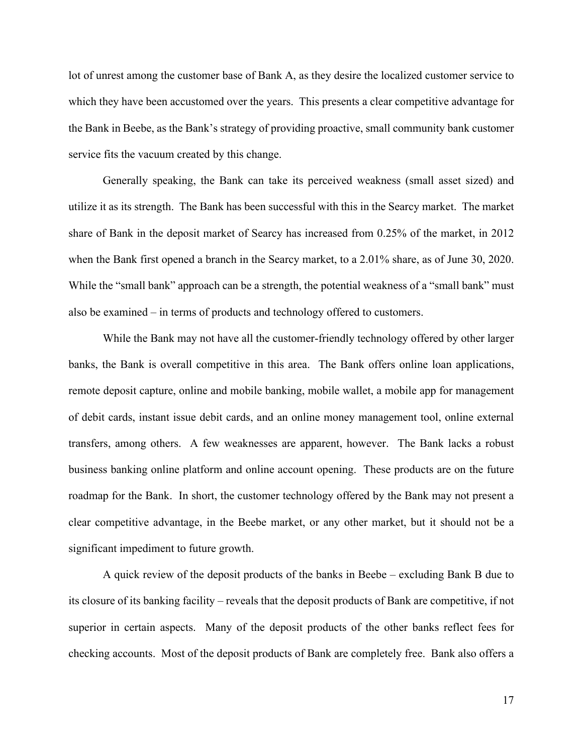lot of unrest among the customer base of Bank A, as they desire the localized customer service to which they have been accustomed over the years. This presents a clear competitive advantage for the Bank in Beebe, as the Bank's strategy of providing proactive, small community bank customer service fits the vacuum created by this change.

Generally speaking, the Bank can take its perceived weakness (small asset sized) and utilize it as its strength. The Bank has been successful with this in the Searcy market. The market share of Bank in the deposit market of Searcy has increased from 0.25% of the market, in 2012 when the Bank first opened a branch in the Searcy market, to a 2.01% share, as of June 30, 2020. While the "small bank" approach can be a strength, the potential weakness of a "small bank" must also be examined – in terms of products and technology offered to customers.

While the Bank may not have all the customer-friendly technology offered by other larger banks, the Bank is overall competitive in this area. The Bank offers online loan applications, remote deposit capture, online and mobile banking, mobile wallet, a mobile app for management of debit cards, instant issue debit cards, and an online money management tool, online external transfers, among others. A few weaknesses are apparent, however. The Bank lacks a robust business banking online platform and online account opening. These products are on the future roadmap for the Bank. In short, the customer technology offered by the Bank may not present a clear competitive advantage, in the Beebe market, or any other market, but it should not be a significant impediment to future growth.

A quick review of the deposit products of the banks in Beebe – excluding Bank B due to its closure of its banking facility – reveals that the deposit products of Bank are competitive, if not superior in certain aspects. Many of the deposit products of the other banks reflect fees for checking accounts. Most of the deposit products of Bank are completely free. Bank also offers a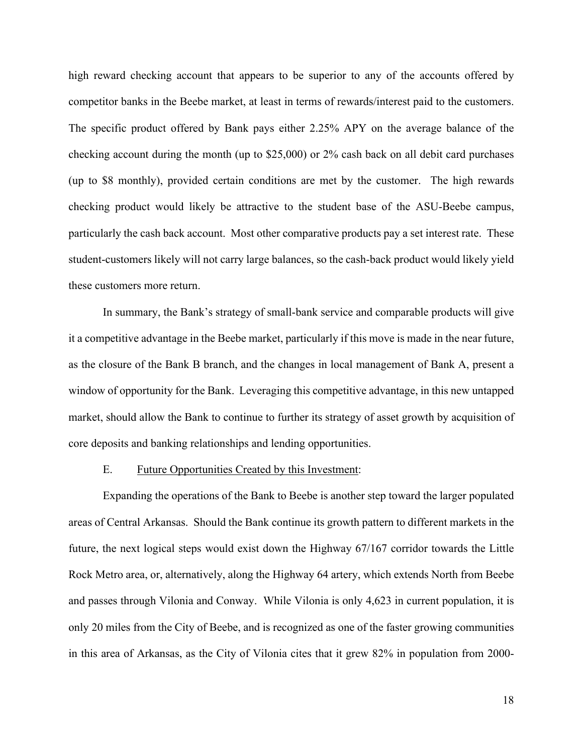high reward checking account that appears to be superior to any of the accounts offered by competitor banks in the Beebe market, at least in terms of rewards/interest paid to the customers. The specific product offered by Bank pays either 2.25% APY on the average balance of the checking account during the month (up to \$25,000) or 2% cash back on all debit card purchases (up to \$8 monthly), provided certain conditions are met by the customer. The high rewards checking product would likely be attractive to the student base of the ASU-Beebe campus, particularly the cash back account. Most other comparative products pay a set interest rate. These student-customers likely will not carry large balances, so the cash-back product would likely yield these customers more return.

In summary, the Bank's strategy of small-bank service and comparable products will give it a competitive advantage in the Beebe market, particularly if this move is made in the near future, as the closure of the Bank B branch, and the changes in local management of Bank A, present a window of opportunity for the Bank. Leveraging this competitive advantage, in this new untapped market, should allow the Bank to continue to further its strategy of asset growth by acquisition of core deposits and banking relationships and lending opportunities.

#### E. Future Opportunities Created by this Investment:

Expanding the operations of the Bank to Beebe is another step toward the larger populated areas of Central Arkansas. Should the Bank continue its growth pattern to different markets in the future, the next logical steps would exist down the Highway 67/167 corridor towards the Little Rock Metro area, or, alternatively, along the Highway 64 artery, which extends North from Beebe and passes through Vilonia and Conway. While Vilonia is only 4,623 in current population, it is only 20 miles from the City of Beebe, and is recognized as one of the faster growing communities in this area of Arkansas, as the City of Vilonia cites that it grew 82% in population from 2000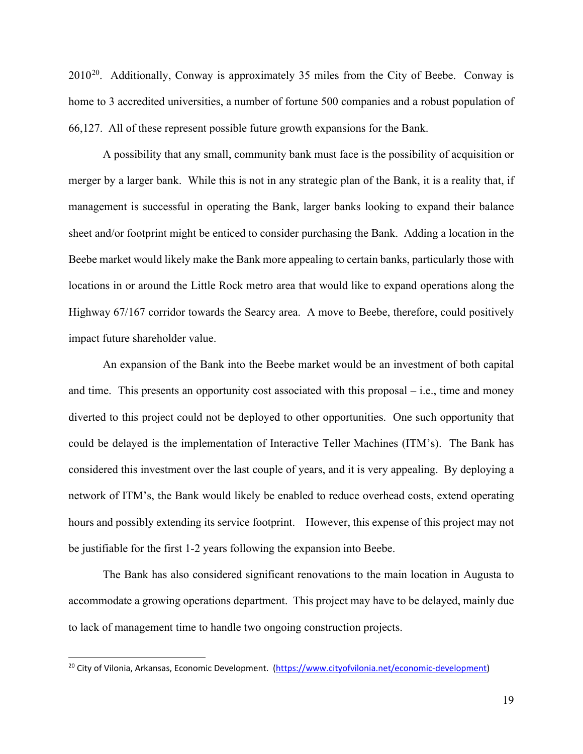$2010^{20}$ . Additionally, Conway is approximately 35 miles from the City of Beebe. Conway is home to 3 accredited universities, a number of fortune 500 companies and a robust population of 66,127. All of these represent possible future growth expansions for the Bank.

A possibility that any small, community bank must face is the possibility of acquisition or merger by a larger bank. While this is not in any strategic plan of the Bank, it is a reality that, if management is successful in operating the Bank, larger banks looking to expand their balance sheet and/or footprint might be enticed to consider purchasing the Bank. Adding a location in the Beebe market would likely make the Bank more appealing to certain banks, particularly those with locations in or around the Little Rock metro area that would like to expand operations along the Highway 67/167 corridor towards the Searcy area. A move to Beebe, therefore, could positively impact future shareholder value.

An expansion of the Bank into the Beebe market would be an investment of both capital and time. This presents an opportunity cost associated with this proposal – i.e., time and money diverted to this project could not be deployed to other opportunities. One such opportunity that could be delayed is the implementation of Interactive Teller Machines (ITM's). The Bank has considered this investment over the last couple of years, and it is very appealing. By deploying a network of ITM's, the Bank would likely be enabled to reduce overhead costs, extend operating hours and possibly extending its service footprint. However, this expense of this project may not be justifiable for the first 1-2 years following the expansion into Beebe.

The Bank has also considered significant renovations to the main location in Augusta to accommodate a growing operations department. This project may have to be delayed, mainly due to lack of management time to handle two ongoing construction projects.

<span id="page-18-0"></span><sup>&</sup>lt;sup>20</sup> City of Vilonia, Arkansas, Economic Development. [\(https://www.cityofvilonia.net/economic-development\)](https://www.cityofvilonia.net/economic-development)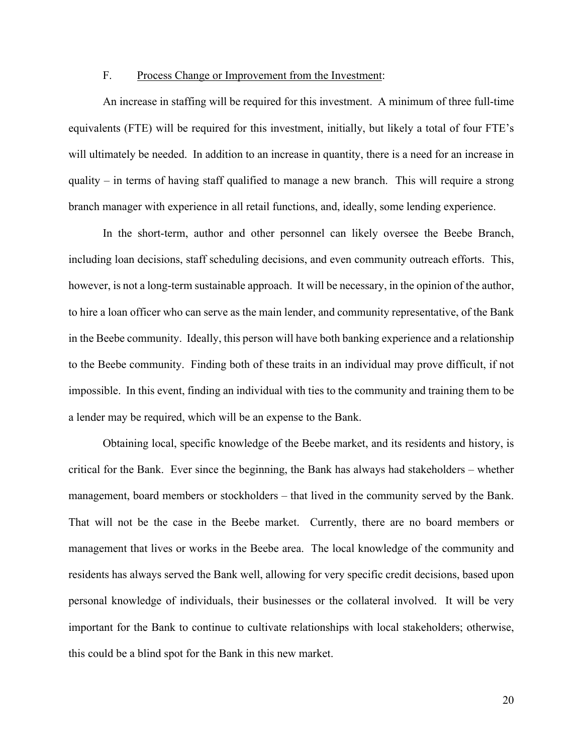#### F. Process Change or Improvement from the Investment:

An increase in staffing will be required for this investment. A minimum of three full-time equivalents (FTE) will be required for this investment, initially, but likely a total of four FTE's will ultimately be needed. In addition to an increase in quantity, there is a need for an increase in quality – in terms of having staff qualified to manage a new branch. This will require a strong branch manager with experience in all retail functions, and, ideally, some lending experience.

In the short-term, author and other personnel can likely oversee the Beebe Branch, including loan decisions, staff scheduling decisions, and even community outreach efforts. This, however, is not a long-term sustainable approach. It will be necessary, in the opinion of the author, to hire a loan officer who can serve as the main lender, and community representative, of the Bank in the Beebe community. Ideally, this person will have both banking experience and a relationship to the Beebe community. Finding both of these traits in an individual may prove difficult, if not impossible. In this event, finding an individual with ties to the community and training them to be a lender may be required, which will be an expense to the Bank.

Obtaining local, specific knowledge of the Beebe market, and its residents and history, is critical for the Bank. Ever since the beginning, the Bank has always had stakeholders – whether management, board members or stockholders – that lived in the community served by the Bank. That will not be the case in the Beebe market. Currently, there are no board members or management that lives or works in the Beebe area. The local knowledge of the community and residents has always served the Bank well, allowing for very specific credit decisions, based upon personal knowledge of individuals, their businesses or the collateral involved. It will be very important for the Bank to continue to cultivate relationships with local stakeholders; otherwise, this could be a blind spot for the Bank in this new market.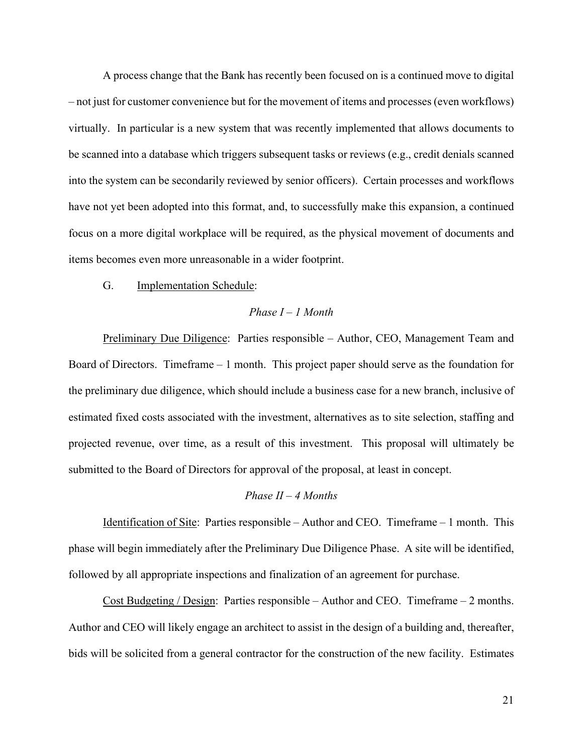A process change that the Bank has recently been focused on is a continued move to digital – not just for customer convenience but for the movement of items and processes (even workflows) virtually. In particular is a new system that was recently implemented that allows documents to be scanned into a database which triggers subsequent tasks or reviews (e.g., credit denials scanned into the system can be secondarily reviewed by senior officers). Certain processes and workflows have not yet been adopted into this format, and, to successfully make this expansion, a continued focus on a more digital workplace will be required, as the physical movement of documents and items becomes even more unreasonable in a wider footprint.

G. Implementation Schedule:

## *Phase I – 1 Month*

Preliminary Due Diligence: Parties responsible – Author, CEO, Management Team and Board of Directors. Timeframe – 1 month. This project paper should serve as the foundation for the preliminary due diligence, which should include a business case for a new branch, inclusive of estimated fixed costs associated with the investment, alternatives as to site selection, staffing and projected revenue, over time, as a result of this investment. This proposal will ultimately be submitted to the Board of Directors for approval of the proposal, at least in concept.

#### *Phase II – 4 Months*

Identification of Site: Parties responsible – Author and CEO. Timeframe – 1 month. This phase will begin immediately after the Preliminary Due Diligence Phase. A site will be identified, followed by all appropriate inspections and finalization of an agreement for purchase.

Cost Budgeting / Design: Parties responsible – Author and CEO. Timeframe – 2 months. Author and CEO will likely engage an architect to assist in the design of a building and, thereafter, bids will be solicited from a general contractor for the construction of the new facility. Estimates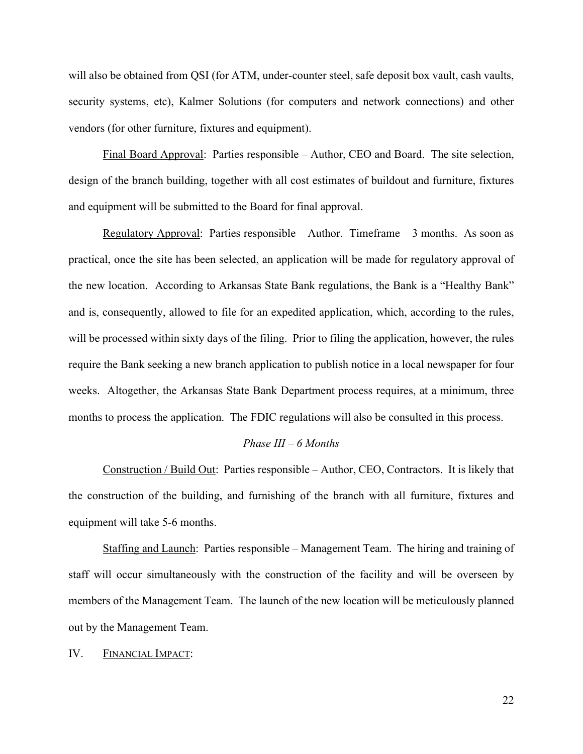will also be obtained from QSI (for ATM, under-counter steel, safe deposit box vault, cash vaults, security systems, etc), Kalmer Solutions (for computers and network connections) and other vendors (for other furniture, fixtures and equipment).

Final Board Approval: Parties responsible – Author, CEO and Board. The site selection, design of the branch building, together with all cost estimates of buildout and furniture, fixtures and equipment will be submitted to the Board for final approval.

Regulatory Approval: Parties responsible – Author. Timeframe – 3 months. As soon as practical, once the site has been selected, an application will be made for regulatory approval of the new location. According to Arkansas State Bank regulations, the Bank is a "Healthy Bank" and is, consequently, allowed to file for an expedited application, which, according to the rules, will be processed within sixty days of the filing. Prior to filing the application, however, the rules require the Bank seeking a new branch application to publish notice in a local newspaper for four weeks. Altogether, the Arkansas State Bank Department process requires, at a minimum, three months to process the application. The FDIC regulations will also be consulted in this process.

#### *Phase III – 6 Months*

Construction / Build Out: Parties responsible – Author, CEO, Contractors. It is likely that the construction of the building, and furnishing of the branch with all furniture, fixtures and equipment will take 5-6 months.

Staffing and Launch: Parties responsible – Management Team. The hiring and training of staff will occur simultaneously with the construction of the facility and will be overseen by members of the Management Team. The launch of the new location will be meticulously planned out by the Management Team.

IV. FINANCIAL IMPACT: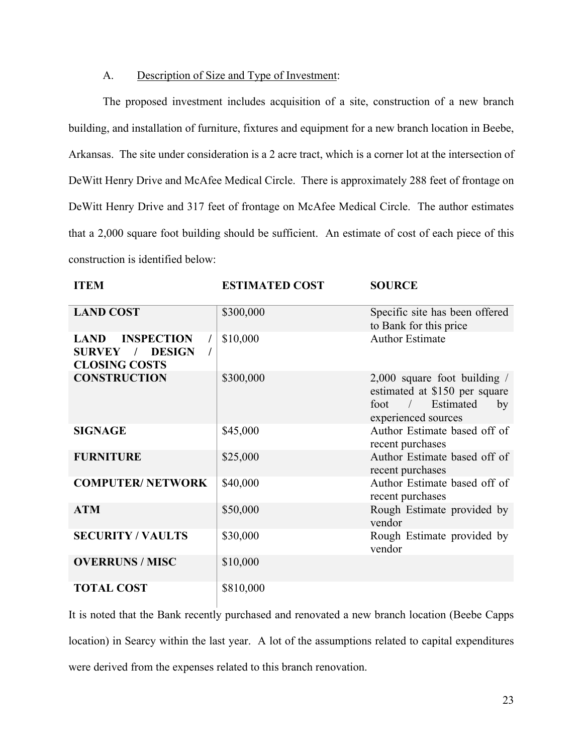### A. Description of Size and Type of Investment:

The proposed investment includes acquisition of a site, construction of a new branch building, and installation of furniture, fixtures and equipment for a new branch location in Beebe, Arkansas. The site under consideration is a 2 acre tract, which is a corner lot at the intersection of DeWitt Henry Drive and McAfee Medical Circle. There is approximately 288 feet of frontage on DeWitt Henry Drive and 317 feet of frontage on McAfee Medical Circle. The author estimates that a 2,000 square foot building should be sufficient. An estimate of cost of each piece of this construction is identified below:

| <b>ITEM</b>                                                                                | <b>ESTIMATED COST</b> | <b>SOURCE</b>                                                                                                    |
|--------------------------------------------------------------------------------------------|-----------------------|------------------------------------------------------------------------------------------------------------------|
| <b>LAND COST</b>                                                                           | \$300,000             | Specific site has been offered<br>to Bank for this price                                                         |
| <b>INSPECTION</b><br><b>LAND</b><br><b>SURVEY</b><br><b>DESIGN</b><br><b>CLOSING COSTS</b> | \$10,000              | <b>Author Estimate</b>                                                                                           |
| <b>CONSTRUCTION</b>                                                                        | \$300,000             | $2,000$ square foot building /<br>estimated at \$150 per square<br>foot / Estimated<br>by<br>experienced sources |
| <b>SIGNAGE</b>                                                                             | \$45,000              | Author Estimate based off of<br>recent purchases                                                                 |
| <b>FURNITURE</b>                                                                           | \$25,000              | Author Estimate based off of<br>recent purchases                                                                 |
| <b>COMPUTER/ NETWORK</b>                                                                   | \$40,000              | Author Estimate based off of<br>recent purchases                                                                 |
| <b>ATM</b>                                                                                 | \$50,000              | Rough Estimate provided by<br>vendor                                                                             |
| <b>SECURITY / VAULTS</b>                                                                   | \$30,000              | Rough Estimate provided by<br>vendor                                                                             |
| <b>OVERRUNS / MISC</b>                                                                     | \$10,000              |                                                                                                                  |
| <b>TOTAL COST</b>                                                                          | \$810,000             |                                                                                                                  |

It is noted that the Bank recently purchased and renovated a new branch location (Beebe Capps location) in Searcy within the last year. A lot of the assumptions related to capital expenditures were derived from the expenses related to this branch renovation.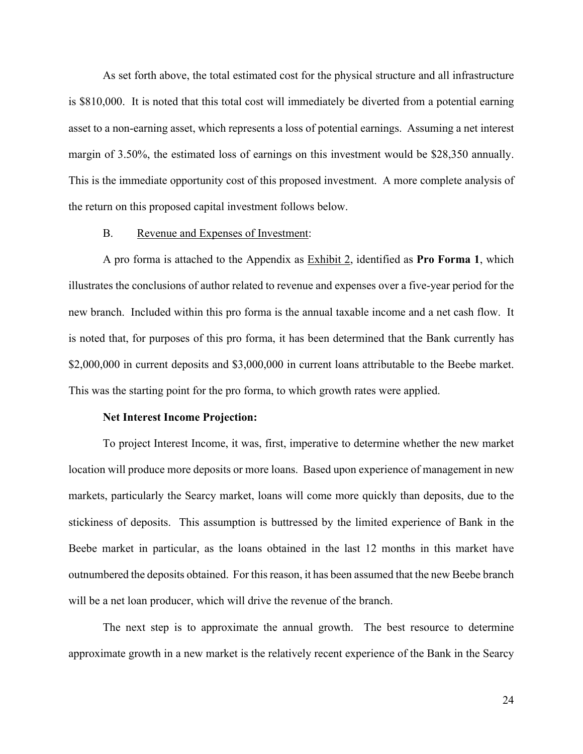As set forth above, the total estimated cost for the physical structure and all infrastructure is \$810,000. It is noted that this total cost will immediately be diverted from a potential earning asset to a non-earning asset, which represents a loss of potential earnings. Assuming a net interest margin of 3.50%, the estimated loss of earnings on this investment would be \$28,350 annually. This is the immediate opportunity cost of this proposed investment. A more complete analysis of the return on this proposed capital investment follows below.

#### B. Revenue and Expenses of Investment:

A pro forma is attached to the Appendix as Exhibit 2, identified as **Pro Forma 1**, which illustrates the conclusions of author related to revenue and expenses over a five-year period for the new branch. Included within this pro forma is the annual taxable income and a net cash flow. It is noted that, for purposes of this pro forma, it has been determined that the Bank currently has \$2,000,000 in current deposits and \$3,000,000 in current loans attributable to the Beebe market. This was the starting point for the pro forma, to which growth rates were applied.

#### **Net Interest Income Projection:**

To project Interest Income, it was, first, imperative to determine whether the new market location will produce more deposits or more loans. Based upon experience of management in new markets, particularly the Searcy market, loans will come more quickly than deposits, due to the stickiness of deposits. This assumption is buttressed by the limited experience of Bank in the Beebe market in particular, as the loans obtained in the last 12 months in this market have outnumbered the deposits obtained. For this reason, it has been assumed that the new Beebe branch will be a net loan producer, which will drive the revenue of the branch.

The next step is to approximate the annual growth. The best resource to determine approximate growth in a new market is the relatively recent experience of the Bank in the Searcy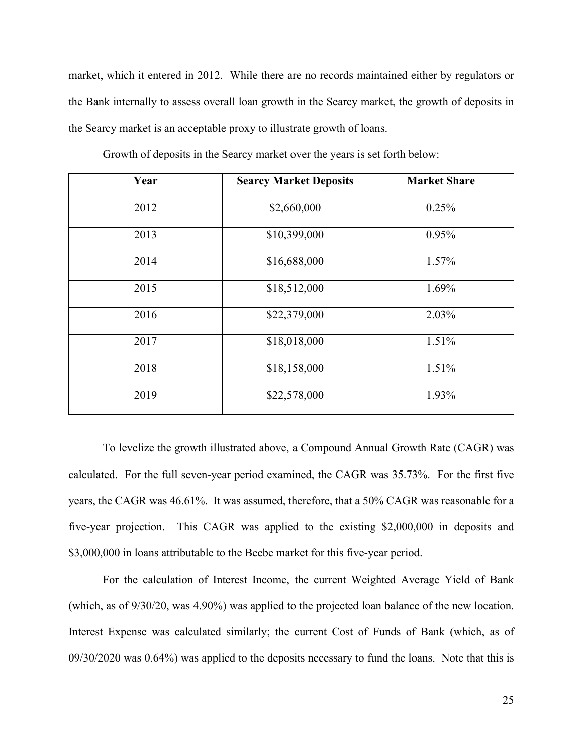market, which it entered in 2012. While there are no records maintained either by regulators or the Bank internally to assess overall loan growth in the Searcy market, the growth of deposits in the Searcy market is an acceptable proxy to illustrate growth of loans.

| Year | <b>Searcy Market Deposits</b> | <b>Market Share</b> |
|------|-------------------------------|---------------------|
| 2012 | \$2,660,000                   | 0.25%               |
| 2013 | \$10,399,000                  | 0.95%               |
| 2014 | \$16,688,000                  | 1.57%               |
| 2015 | \$18,512,000                  | 1.69%               |
| 2016 | \$22,379,000                  | 2.03%               |
| 2017 | \$18,018,000                  | 1.51%               |
| 2018 | \$18,158,000                  | 1.51%               |
| 2019 | \$22,578,000                  | 1.93%               |

Growth of deposits in the Searcy market over the years is set forth below:

To levelize the growth illustrated above, a Compound Annual Growth Rate (CAGR) was calculated. For the full seven-year period examined, the CAGR was 35.73%. For the first five years, the CAGR was 46.61%. It was assumed, therefore, that a 50% CAGR was reasonable for a five-year projection. This CAGR was applied to the existing \$2,000,000 in deposits and \$3,000,000 in loans attributable to the Beebe market for this five-year period.

For the calculation of Interest Income, the current Weighted Average Yield of Bank (which, as of 9/30/20, was 4.90%) was applied to the projected loan balance of the new location. Interest Expense was calculated similarly; the current Cost of Funds of Bank (which, as of 09/30/2020 was 0.64%) was applied to the deposits necessary to fund the loans. Note that this is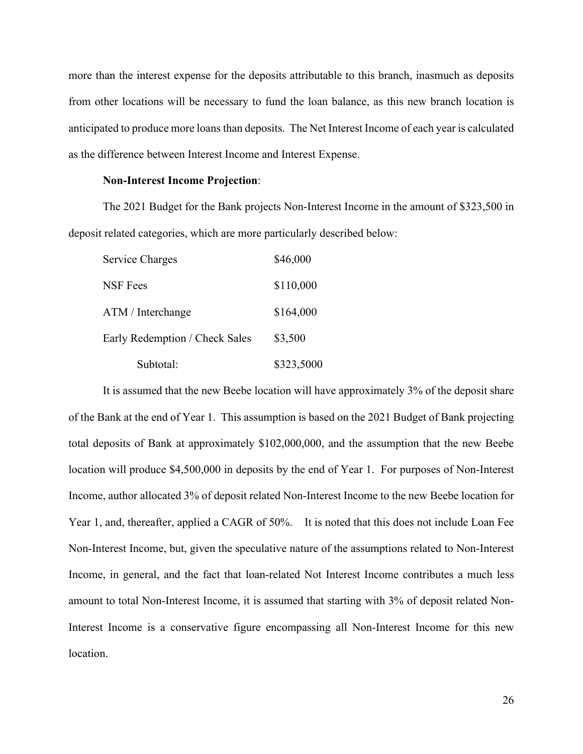more than the interest expense for the deposits attributable to this branch, inasmuch as deposits from other locations will be necessary to fund the loan balance, as this new branch location is anticipated to produce more loans than deposits. The Net Interest Income of each year is calculated as the difference between Interest Income and Interest Expense.

#### **Non-Interest Income Projection**:

The 2021 Budget for the Bank projects Non-Interest Income in the amount of \$323,500 in deposit related categories, which are more particularly described below:

| Service Charges                | \$46,000   |
|--------------------------------|------------|
| NSF Fees                       | \$110,000  |
| ATM / Interchange              | \$164,000  |
| Early Redemption / Check Sales | \$3,500    |
| Subtotal:                      | \$323,5000 |

It is assumed that the new Beebe location will have approximately 3% of the deposit share of the Bank at the end of Year 1. This assumption is based on the 2021 Budget of Bank projecting total deposits of Bank at approximately \$102,000,000, and the assumption that the new Beebe location will produce \$4,500,000 in deposits by the end of Year 1. For purposes of Non-Interest Income, author allocated 3% of deposit related Non-Interest Income to the new Beebe location for Year 1, and, thereafter, applied a CAGR of 50%. It is noted that this does not include Loan Fee Non-Interest Income, but, given the speculative nature of the assumptions related to Non-Interest Income, in general, and the fact that loan-related Not Interest Income contributes a much less amount to total Non-Interest Income, it is assumed that starting with 3% of deposit related Non-Interest Income is a conservative figure encompassing all Non-Interest Income for this new location.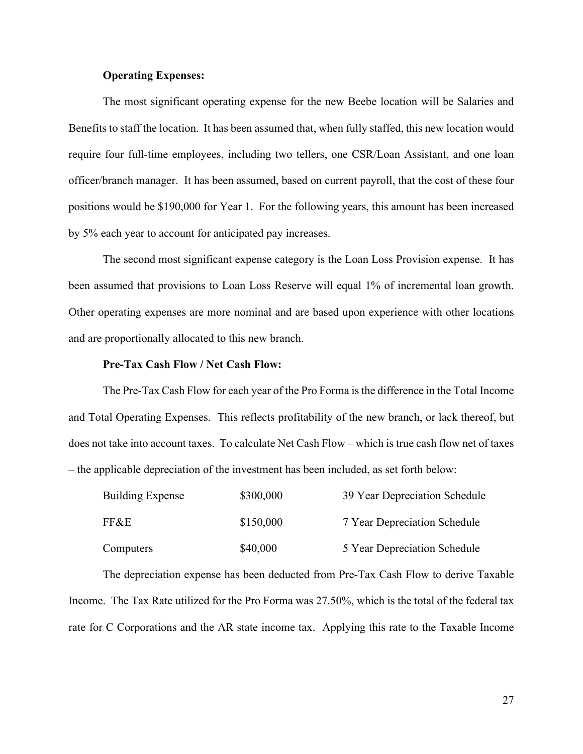#### **Operating Expenses:**

The most significant operating expense for the new Beebe location will be Salaries and Benefits to staff the location. It has been assumed that, when fully staffed, this new location would require four full-time employees, including two tellers, one CSR/Loan Assistant, and one loan officer/branch manager. It has been assumed, based on current payroll, that the cost of these four positions would be \$190,000 for Year 1. For the following years, this amount has been increased by 5% each year to account for anticipated pay increases.

The second most significant expense category is the Loan Loss Provision expense. It has been assumed that provisions to Loan Loss Reserve will equal 1% of incremental loan growth. Other operating expenses are more nominal and are based upon experience with other locations and are proportionally allocated to this new branch.

#### **Pre-Tax Cash Flow / Net Cash Flow:**

The Pre-Tax Cash Flow for each year of the Pro Forma is the difference in the Total Income and Total Operating Expenses. This reflects profitability of the new branch, or lack thereof, but does not take into account taxes. To calculate Net Cash Flow – which is true cash flow net of taxes – the applicable depreciation of the investment has been included, as set forth below:

| <b>Building Expense</b> | \$300,000 | 39 Year Depreciation Schedule |
|-------------------------|-----------|-------------------------------|
| FF&E                    | \$150,000 | 7 Year Depreciation Schedule  |
| Computers               | \$40,000  | 5 Year Depreciation Schedule  |

The depreciation expense has been deducted from Pre-Tax Cash Flow to derive Taxable Income. The Tax Rate utilized for the Pro Forma was 27.50%, which is the total of the federal tax rate for C Corporations and the AR state income tax. Applying this rate to the Taxable Income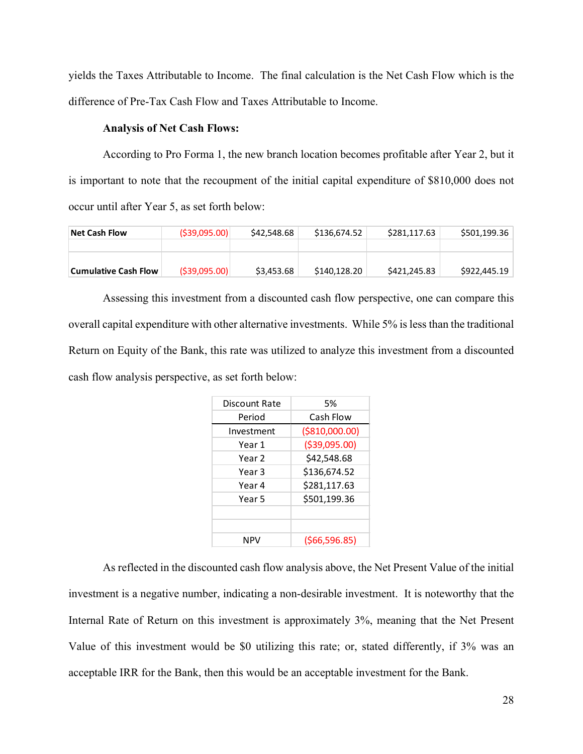yields the Taxes Attributable to Income. The final calculation is the Net Cash Flow which is the difference of Pre-Tax Cash Flow and Taxes Attributable to Income.

#### **Analysis of Net Cash Flows:**

According to Pro Forma 1, the new branch location becomes profitable after Year 2, but it is important to note that the recoupment of the initial capital expenditure of \$810,000 does not occur until after Year 5, as set forth below:

| Net Cash Flow        | (539,095.00)   | \$42,548.68 | \$136,674.52 | \$281.117.63 | \$501,199.36 |
|----------------------|----------------|-------------|--------------|--------------|--------------|
|                      |                |             |              |              |              |
|                      |                |             |              |              |              |
| Cumulative Cash Flow | ( \$39,095.00) | \$3,453.68  | \$140,128.20 | \$421,245.83 | \$922,445.19 |

Assessing this investment from a discounted cash flow perspective, one can compare this overall capital expenditure with other alternative investments. While 5% is less than the traditional Return on Equity of the Bank, this rate was utilized to analyze this investment from a discounted cash flow analysis perspective, as set forth below:

| Discount Rate | 5%              |
|---------------|-----------------|
| Period        | Cash Flow       |
| Investment    | ( \$810,000.00) |
| Year 1        | ( \$39,095.00)  |
| Year 2        | \$42,548.68     |
| Year 3        | \$136,674.52    |
| Year 4        | \$281,117.63    |
| Year 5        | \$501,199.36    |
|               |                 |
|               |                 |
| NPV           | (\$66,596.85)   |

As reflected in the discounted cash flow analysis above, the Net Present Value of the initial investment is a negative number, indicating a non-desirable investment. It is noteworthy that the Internal Rate of Return on this investment is approximately 3%, meaning that the Net Present Value of this investment would be \$0 utilizing this rate; or, stated differently, if 3% was an acceptable IRR for the Bank, then this would be an acceptable investment for the Bank.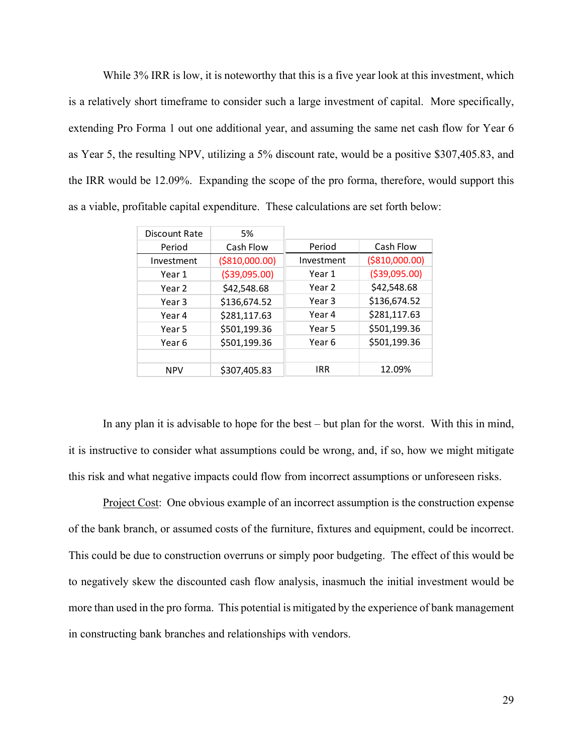While 3% IRR is low, it is noteworthy that this is a five year look at this investment, which is a relatively short timeframe to consider such a large investment of capital. More specifically, extending Pro Forma 1 out one additional year, and assuming the same net cash flow for Year 6 as Year 5, the resulting NPV, utilizing a 5% discount rate, would be a positive \$307,405.83, and the IRR would be 12.09%. Expanding the scope of the pro forma, therefore, would support this as a viable, profitable capital expenditure. These calculations are set forth below:

| Discount Rate | 5%              |            |                 |
|---------------|-----------------|------------|-----------------|
| Period        | Cash Flow       | Period     | Cash Flow       |
| Investment    | ( \$810,000.00) | Investment | ( \$810,000.00) |
| Year 1        | ( \$39,095.00)  | Year 1     | ( \$39,095.00)  |
| Year 2        | \$42,548.68     | Year 2     | \$42,548.68     |
| Year 3        | \$136,674.52    | Year 3     | \$136,674.52    |
| Year 4        | \$281,117.63    | Year 4     | \$281,117.63    |
| Year 5        | \$501,199.36    | Year 5     | \$501,199.36    |
| Year 6        | \$501,199.36    | Year 6     | \$501,199.36    |
|               |                 |            |                 |
| <b>NPV</b>    | \$307,405.83    | IRR        | 12.09%          |

In any plan it is advisable to hope for the best – but plan for the worst. With this in mind, it is instructive to consider what assumptions could be wrong, and, if so, how we might mitigate this risk and what negative impacts could flow from incorrect assumptions or unforeseen risks.

Project Cost: One obvious example of an incorrect assumption is the construction expense of the bank branch, or assumed costs of the furniture, fixtures and equipment, could be incorrect. This could be due to construction overruns or simply poor budgeting. The effect of this would be to negatively skew the discounted cash flow analysis, inasmuch the initial investment would be more than used in the pro forma. This potential is mitigated by the experience of bank management in constructing bank branches and relationships with vendors.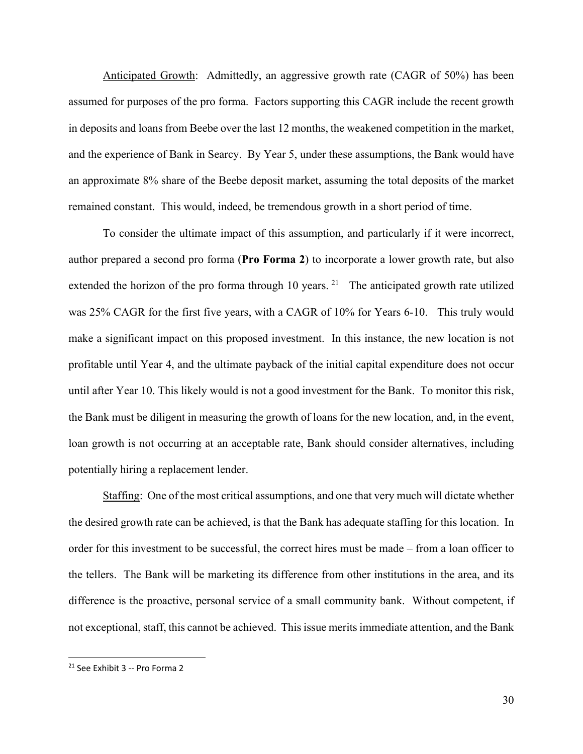Anticipated Growth: Admittedly, an aggressive growth rate (CAGR of 50%) has been assumed for purposes of the pro forma. Factors supporting this CAGR include the recent growth in deposits and loans from Beebe over the last 12 months, the weakened competition in the market, and the experience of Bank in Searcy. By Year 5, under these assumptions, the Bank would have an approximate 8% share of the Beebe deposit market, assuming the total deposits of the market remained constant. This would, indeed, be tremendous growth in a short period of time.

To consider the ultimate impact of this assumption, and particularly if it were incorrect, author prepared a second pro forma (**Pro Forma 2**) to incorporate a lower growth rate, but also extended the horizon of the pro forma through 10 years.  $2^1$  The anticipated growth rate utilized was 25% CAGR for the first five years, with a CAGR of 10% for Years 6-10. This truly would make a significant impact on this proposed investment. In this instance, the new location is not profitable until Year 4, and the ultimate payback of the initial capital expenditure does not occur until after Year 10. This likely would is not a good investment for the Bank. To monitor this risk, the Bank must be diligent in measuring the growth of loans for the new location, and, in the event, loan growth is not occurring at an acceptable rate, Bank should consider alternatives, including potentially hiring a replacement lender.

Staffing: One of the most critical assumptions, and one that very much will dictate whether the desired growth rate can be achieved, is that the Bank has adequate staffing for this location. In order for this investment to be successful, the correct hires must be made – from a loan officer to the tellers. The Bank will be marketing its difference from other institutions in the area, and its difference is the proactive, personal service of a small community bank. Without competent, if not exceptional, staff, this cannot be achieved. This issue merits immediate attention, and the Bank

<span id="page-29-0"></span><sup>21</sup> See Exhibit 3 -- Pro Forma 2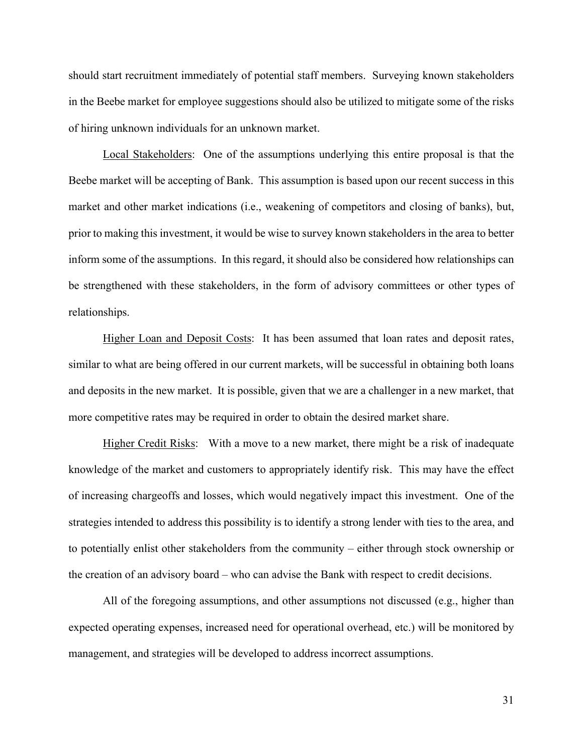should start recruitment immediately of potential staff members. Surveying known stakeholders in the Beebe market for employee suggestions should also be utilized to mitigate some of the risks of hiring unknown individuals for an unknown market.

Local Stakeholders: One of the assumptions underlying this entire proposal is that the Beebe market will be accepting of Bank. This assumption is based upon our recent success in this market and other market indications (i.e., weakening of competitors and closing of banks), but, prior to making this investment, it would be wise to survey known stakeholders in the area to better inform some of the assumptions. In this regard, it should also be considered how relationships can be strengthened with these stakeholders, in the form of advisory committees or other types of relationships.

Higher Loan and Deposit Costs: It has been assumed that loan rates and deposit rates, similar to what are being offered in our current markets, will be successful in obtaining both loans and deposits in the new market. It is possible, given that we are a challenger in a new market, that more competitive rates may be required in order to obtain the desired market share.

Higher Credit Risks: With a move to a new market, there might be a risk of inadequate knowledge of the market and customers to appropriately identify risk. This may have the effect of increasing chargeoffs and losses, which would negatively impact this investment. One of the strategies intended to address this possibility is to identify a strong lender with ties to the area, and to potentially enlist other stakeholders from the community – either through stock ownership or the creation of an advisory board – who can advise the Bank with respect to credit decisions.

All of the foregoing assumptions, and other assumptions not discussed (e.g., higher than expected operating expenses, increased need for operational overhead, etc.) will be monitored by management, and strategies will be developed to address incorrect assumptions.

31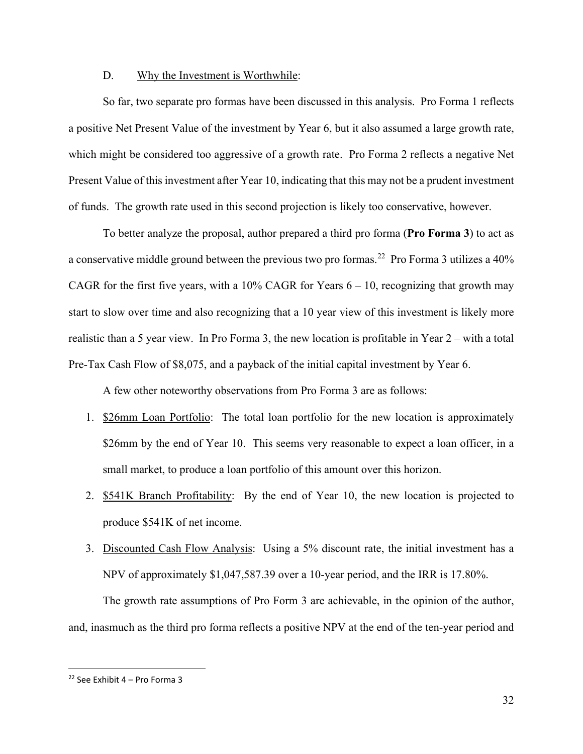#### D. Why the Investment is Worthwhile:

So far, two separate pro formas have been discussed in this analysis. Pro Forma 1 reflects a positive Net Present Value of the investment by Year 6, but it also assumed a large growth rate, which might be considered too aggressive of a growth rate. Pro Forma 2 reflects a negative Net Present Value of this investment after Year 10, indicating that this may not be a prudent investment of funds. The growth rate used in this second projection is likely too conservative, however.

To better analyze the proposal, author prepared a third pro forma (**Pro Forma 3**) to act as a conservative middle ground between the previous two pro formas.<sup>22</sup> Pro Forma 3 utilizes a 40% CAGR for the first five years, with a 10% CAGR for Years  $6 - 10$ , recognizing that growth may start to slow over time and also recognizing that a 10 year view of this investment is likely more realistic than a 5 year view. In Pro Forma 3, the new location is profitable in Year 2 – with a total Pre-Tax Cash Flow of \$8,075, and a payback of the initial capital investment by Year 6.

A few other noteworthy observations from Pro Forma 3 are as follows:

- 1. \$26mm Loan Portfolio: The total loan portfolio for the new location is approximately \$26mm by the end of Year 10. This seems very reasonable to expect a loan officer, in a small market, to produce a loan portfolio of this amount over this horizon.
- 2. **\$541K Branch Profitability:** By the end of Year 10, the new location is projected to produce \$541K of net income.
- 3. Discounted Cash Flow Analysis: Using a 5% discount rate, the initial investment has a NPV of approximately \$1,047,587.39 over a 10-year period, and the IRR is 17.80%.

The growth rate assumptions of Pro Form 3 are achievable, in the opinion of the author, and, inasmuch as the third pro forma reflects a positive NPV at the end of the ten-year period and

<span id="page-31-0"></span><sup>&</sup>lt;sup>22</sup> See Exhibit  $4$  – Pro Forma 3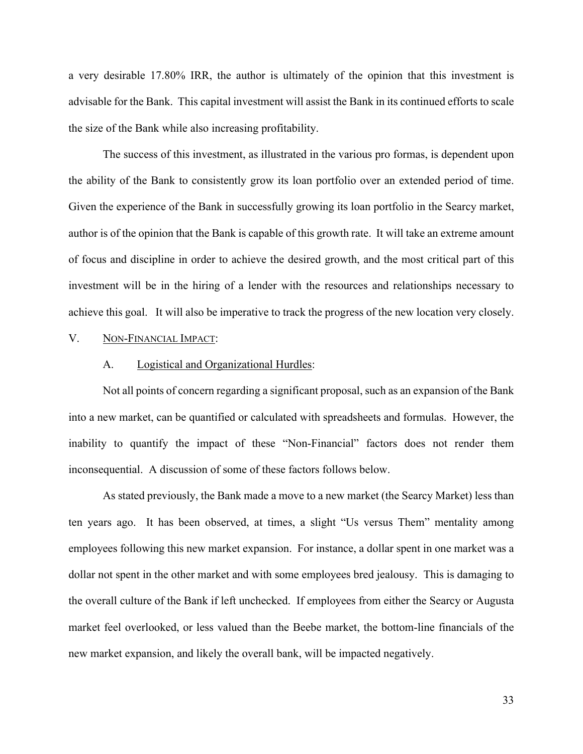a very desirable 17.80% IRR, the author is ultimately of the opinion that this investment is advisable for the Bank. This capital investment will assist the Bank in its continued efforts to scale the size of the Bank while also increasing profitability.

The success of this investment, as illustrated in the various pro formas, is dependent upon the ability of the Bank to consistently grow its loan portfolio over an extended period of time. Given the experience of the Bank in successfully growing its loan portfolio in the Searcy market, author is of the opinion that the Bank is capable of this growth rate. It will take an extreme amount of focus and discipline in order to achieve the desired growth, and the most critical part of this investment will be in the hiring of a lender with the resources and relationships necessary to achieve this goal. It will also be imperative to track the progress of the new location very closely.

#### V. NON-FINANCIAL IMPACT:

#### A. Logistical and Organizational Hurdles:

Not all points of concern regarding a significant proposal, such as an expansion of the Bank into a new market, can be quantified or calculated with spreadsheets and formulas. However, the inability to quantify the impact of these "Non-Financial" factors does not render them inconsequential. A discussion of some of these factors follows below.

As stated previously, the Bank made a move to a new market (the Searcy Market) less than ten years ago. It has been observed, at times, a slight "Us versus Them" mentality among employees following this new market expansion. For instance, a dollar spent in one market was a dollar not spent in the other market and with some employees bred jealousy. This is damaging to the overall culture of the Bank if left unchecked. If employees from either the Searcy or Augusta market feel overlooked, or less valued than the Beebe market, the bottom-line financials of the new market expansion, and likely the overall bank, will be impacted negatively.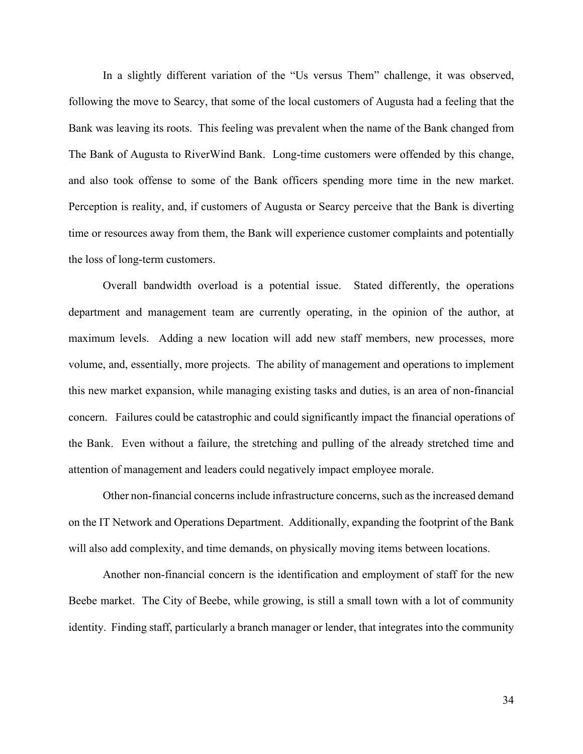In a slightly different variation of the "Us versus Them" challenge, it was observed, following the move to Searcy, that some of the local customers of Augusta had a feeling that the Bank was leaving its roots. This feeling was prevalent when the name of the Bank changed from The Bank of Augusta to RiverWind Bank. Long-time customers were offended by this change, and also took offense to some of the Bank officers spending more time in the new market. Perception is reality, and, if customers of Augusta or Searcy perceive that the Bank is diverting time or resources away from them, the Bank will experience customer complaints and potentially the loss of long-term customers.

Overall bandwidth overload is a potential issue. Stated differently, the operations department and management team are currently operating, in the opinion of the author, at maximum levels. Adding a new location will add new staff members, new processes, more volume, and, essentially, more projects. The ability of management and operations to implement this new market expansion, while managing existing tasks and duties, is an area of non-financial concern. Failures could be catastrophic and could significantly impact the financial operations of the Bank. Even without a failure, the stretching and pulling of the already stretched time and attention of management and leaders could negatively impact employee morale.

Other non-financial concerns include infrastructure concerns, such as the increased demand on the IT Network and Operations Department. Additionally, expanding the footprint of the Bank will also add complexity, and time demands, on physically moving items between locations.

Another non-financial concern is the identification and employment of staff for the new Beebe market. The City of Beebe, while growing, is still a small town with a lot of community identity. Finding staff, particularly a branch manager or lender, that integrates into the community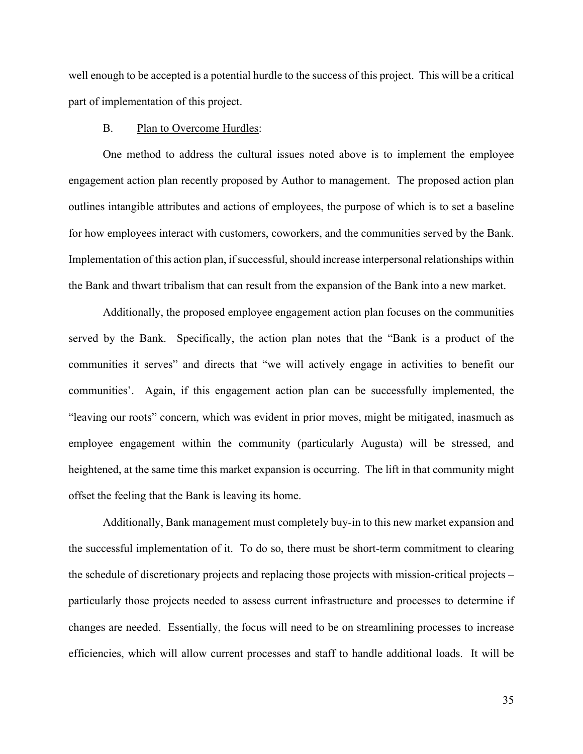well enough to be accepted is a potential hurdle to the success of this project. This will be a critical part of implementation of this project.

#### B. Plan to Overcome Hurdles:

One method to address the cultural issues noted above is to implement the employee engagement action plan recently proposed by Author to management. The proposed action plan outlines intangible attributes and actions of employees, the purpose of which is to set a baseline for how employees interact with customers, coworkers, and the communities served by the Bank. Implementation of this action plan, if successful, should increase interpersonal relationships within the Bank and thwart tribalism that can result from the expansion of the Bank into a new market.

Additionally, the proposed employee engagement action plan focuses on the communities served by the Bank. Specifically, the action plan notes that the "Bank is a product of the communities it serves" and directs that "we will actively engage in activities to benefit our communities'. Again, if this engagement action plan can be successfully implemented, the "leaving our roots" concern, which was evident in prior moves, might be mitigated, inasmuch as employee engagement within the community (particularly Augusta) will be stressed, and heightened, at the same time this market expansion is occurring. The lift in that community might offset the feeling that the Bank is leaving its home.

Additionally, Bank management must completely buy-in to this new market expansion and the successful implementation of it. To do so, there must be short-term commitment to clearing the schedule of discretionary projects and replacing those projects with mission-critical projects – particularly those projects needed to assess current infrastructure and processes to determine if changes are needed. Essentially, the focus will need to be on streamlining processes to increase efficiencies, which will allow current processes and staff to handle additional loads. It will be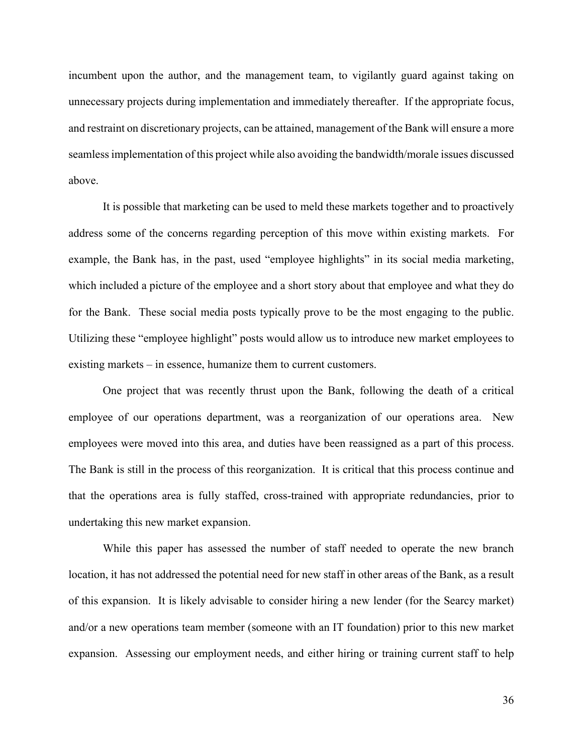incumbent upon the author, and the management team, to vigilantly guard against taking on unnecessary projects during implementation and immediately thereafter. If the appropriate focus, and restraint on discretionary projects, can be attained, management of the Bank will ensure a more seamless implementation of this project while also avoiding the bandwidth/morale issues discussed above.

It is possible that marketing can be used to meld these markets together and to proactively address some of the concerns regarding perception of this move within existing markets. For example, the Bank has, in the past, used "employee highlights" in its social media marketing, which included a picture of the employee and a short story about that employee and what they do for the Bank. These social media posts typically prove to be the most engaging to the public. Utilizing these "employee highlight" posts would allow us to introduce new market employees to existing markets – in essence, humanize them to current customers.

One project that was recently thrust upon the Bank, following the death of a critical employee of our operations department, was a reorganization of our operations area. New employees were moved into this area, and duties have been reassigned as a part of this process. The Bank is still in the process of this reorganization. It is critical that this process continue and that the operations area is fully staffed, cross-trained with appropriate redundancies, prior to undertaking this new market expansion.

While this paper has assessed the number of staff needed to operate the new branch location, it has not addressed the potential need for new staff in other areas of the Bank, as a result of this expansion. It is likely advisable to consider hiring a new lender (for the Searcy market) and/or a new operations team member (someone with an IT foundation) prior to this new market expansion. Assessing our employment needs, and either hiring or training current staff to help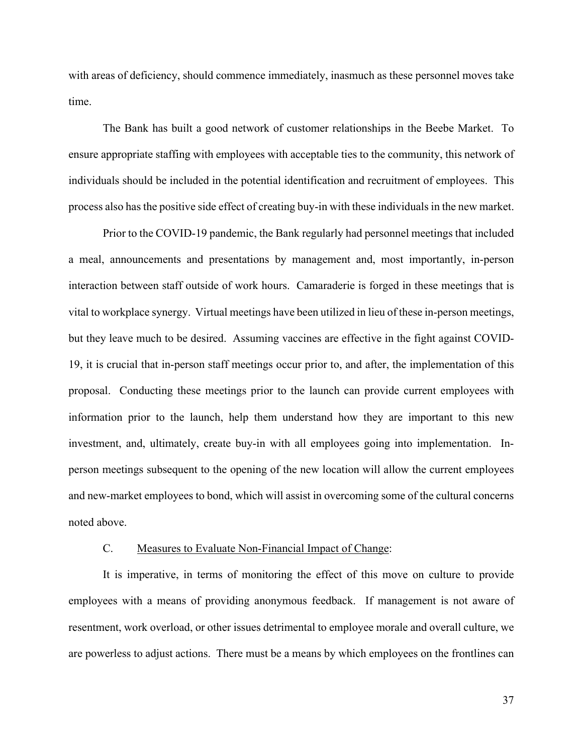with areas of deficiency, should commence immediately, inasmuch as these personnel moves take time.

The Bank has built a good network of customer relationships in the Beebe Market. To ensure appropriate staffing with employees with acceptable ties to the community, this network of individuals should be included in the potential identification and recruitment of employees. This process also has the positive side effect of creating buy-in with these individuals in the new market.

Prior to the COVID-19 pandemic, the Bank regularly had personnel meetings that included a meal, announcements and presentations by management and, most importantly, in-person interaction between staff outside of work hours. Camaraderie is forged in these meetings that is vital to workplace synergy. Virtual meetings have been utilized in lieu of these in-person meetings, but they leave much to be desired. Assuming vaccines are effective in the fight against COVID-19, it is crucial that in-person staff meetings occur prior to, and after, the implementation of this proposal. Conducting these meetings prior to the launch can provide current employees with information prior to the launch, help them understand how they are important to this new investment, and, ultimately, create buy-in with all employees going into implementation. Inperson meetings subsequent to the opening of the new location will allow the current employees and new-market employees to bond, which will assist in overcoming some of the cultural concerns noted above.

#### C. Measures to Evaluate Non-Financial Impact of Change:

It is imperative, in terms of monitoring the effect of this move on culture to provide employees with a means of providing anonymous feedback. If management is not aware of resentment, work overload, or other issues detrimental to employee morale and overall culture, we are powerless to adjust actions. There must be a means by which employees on the frontlines can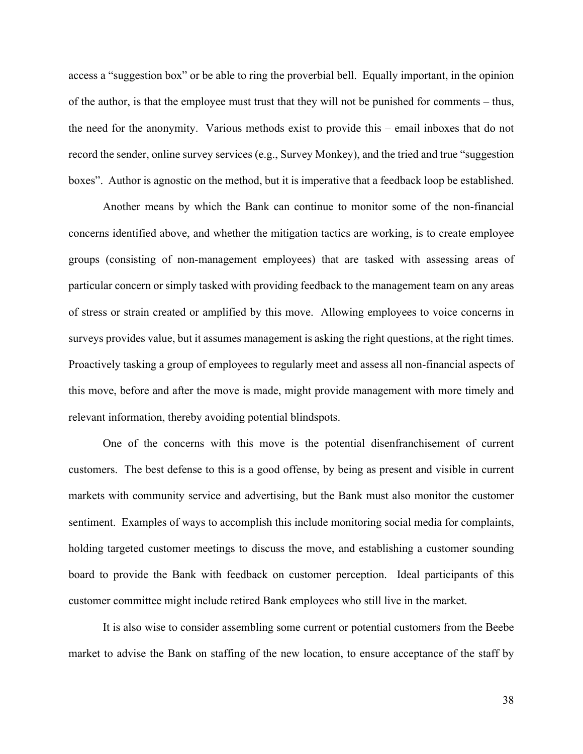access a "suggestion box" or be able to ring the proverbial bell. Equally important, in the opinion of the author, is that the employee must trust that they will not be punished for comments – thus, the need for the anonymity. Various methods exist to provide this – email inboxes that do not record the sender, online survey services (e.g., Survey Monkey), and the tried and true "suggestion boxes". Author is agnostic on the method, but it is imperative that a feedback loop be established.

Another means by which the Bank can continue to monitor some of the non-financial concerns identified above, and whether the mitigation tactics are working, is to create employee groups (consisting of non-management employees) that are tasked with assessing areas of particular concern or simply tasked with providing feedback to the management team on any areas of stress or strain created or amplified by this move. Allowing employees to voice concerns in surveys provides value, but it assumes management is asking the right questions, at the right times. Proactively tasking a group of employees to regularly meet and assess all non-financial aspects of this move, before and after the move is made, might provide management with more timely and relevant information, thereby avoiding potential blindspots.

One of the concerns with this move is the potential disenfranchisement of current customers. The best defense to this is a good offense, by being as present and visible in current markets with community service and advertising, but the Bank must also monitor the customer sentiment. Examples of ways to accomplish this include monitoring social media for complaints, holding targeted customer meetings to discuss the move, and establishing a customer sounding board to provide the Bank with feedback on customer perception. Ideal participants of this customer committee might include retired Bank employees who still live in the market.

It is also wise to consider assembling some current or potential customers from the Beebe market to advise the Bank on staffing of the new location, to ensure acceptance of the staff by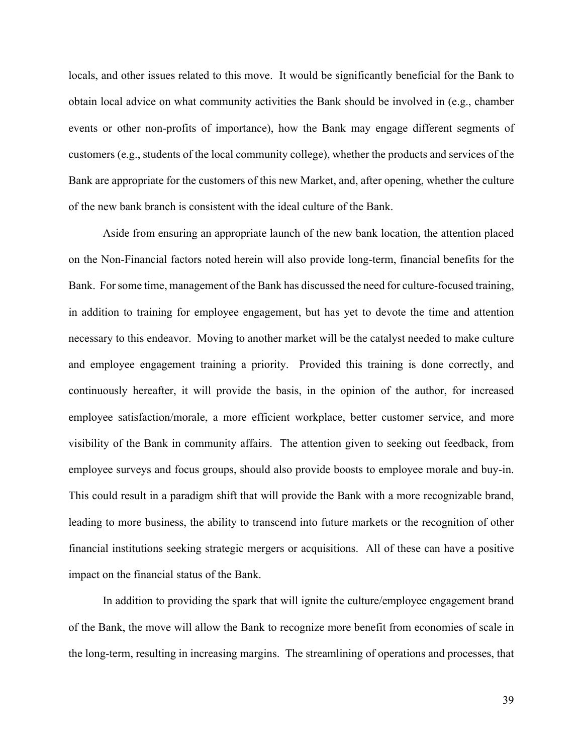locals, and other issues related to this move. It would be significantly beneficial for the Bank to obtain local advice on what community activities the Bank should be involved in (e.g., chamber events or other non-profits of importance), how the Bank may engage different segments of customers (e.g., students of the local community college), whether the products and services of the Bank are appropriate for the customers of this new Market, and, after opening, whether the culture of the new bank branch is consistent with the ideal culture of the Bank.

Aside from ensuring an appropriate launch of the new bank location, the attention placed on the Non-Financial factors noted herein will also provide long-term, financial benefits for the Bank. For some time, management of the Bank has discussed the need for culture-focused training, in addition to training for employee engagement, but has yet to devote the time and attention necessary to this endeavor. Moving to another market will be the catalyst needed to make culture and employee engagement training a priority. Provided this training is done correctly, and continuously hereafter, it will provide the basis, in the opinion of the author, for increased employee satisfaction/morale, a more efficient workplace, better customer service, and more visibility of the Bank in community affairs. The attention given to seeking out feedback, from employee surveys and focus groups, should also provide boosts to employee morale and buy-in. This could result in a paradigm shift that will provide the Bank with a more recognizable brand, leading to more business, the ability to transcend into future markets or the recognition of other financial institutions seeking strategic mergers or acquisitions. All of these can have a positive impact on the financial status of the Bank.

In addition to providing the spark that will ignite the culture/employee engagement brand of the Bank, the move will allow the Bank to recognize more benefit from economies of scale in the long-term, resulting in increasing margins. The streamlining of operations and processes, that

39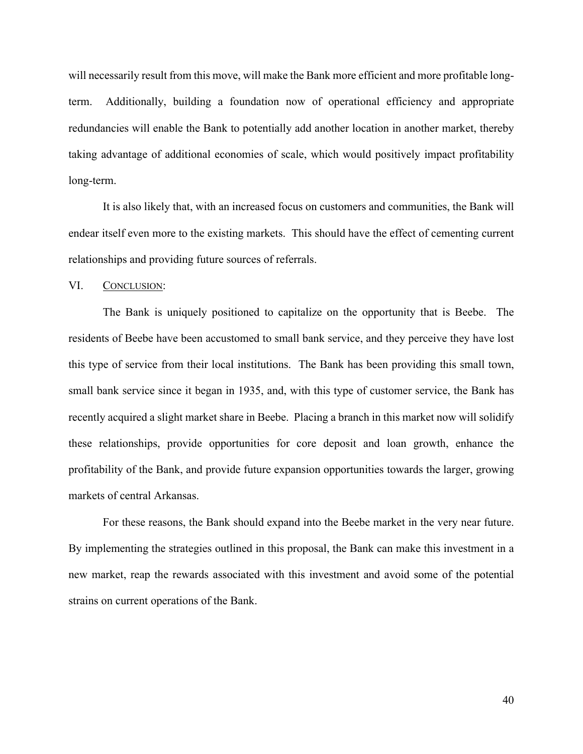will necessarily result from this move, will make the Bank more efficient and more profitable longterm. Additionally, building a foundation now of operational efficiency and appropriate redundancies will enable the Bank to potentially add another location in another market, thereby taking advantage of additional economies of scale, which would positively impact profitability long-term.

It is also likely that, with an increased focus on customers and communities, the Bank will endear itself even more to the existing markets. This should have the effect of cementing current relationships and providing future sources of referrals.

#### VI. CONCLUSION:

The Bank is uniquely positioned to capitalize on the opportunity that is Beebe. The residents of Beebe have been accustomed to small bank service, and they perceive they have lost this type of service from their local institutions. The Bank has been providing this small town, small bank service since it began in 1935, and, with this type of customer service, the Bank has recently acquired a slight market share in Beebe. Placing a branch in this market now will solidify these relationships, provide opportunities for core deposit and loan growth, enhance the profitability of the Bank, and provide future expansion opportunities towards the larger, growing markets of central Arkansas.

For these reasons, the Bank should expand into the Beebe market in the very near future. By implementing the strategies outlined in this proposal, the Bank can make this investment in a new market, reap the rewards associated with this investment and avoid some of the potential strains on current operations of the Bank.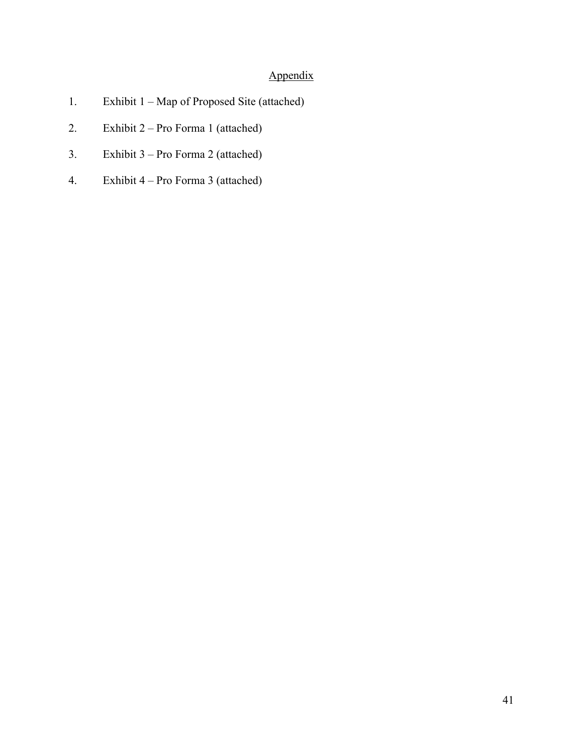# Appendix

- 1. Exhibit 1 Map of Proposed Site (attached)
- 2. Exhibit 2 Pro Forma 1 (attached)
- 3. Exhibit 3 Pro Forma 2 (attached)
- 4. Exhibit 4 Pro Forma 3 (attached)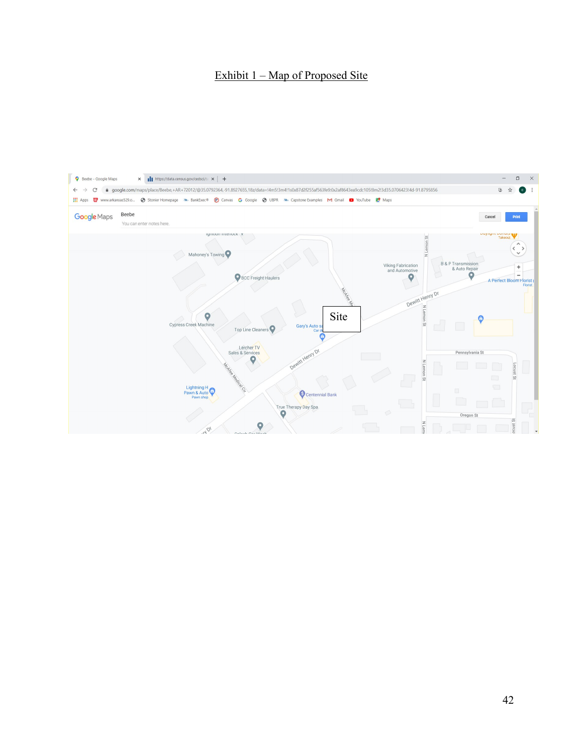# Exhibit 1 – Map of Proposed Site

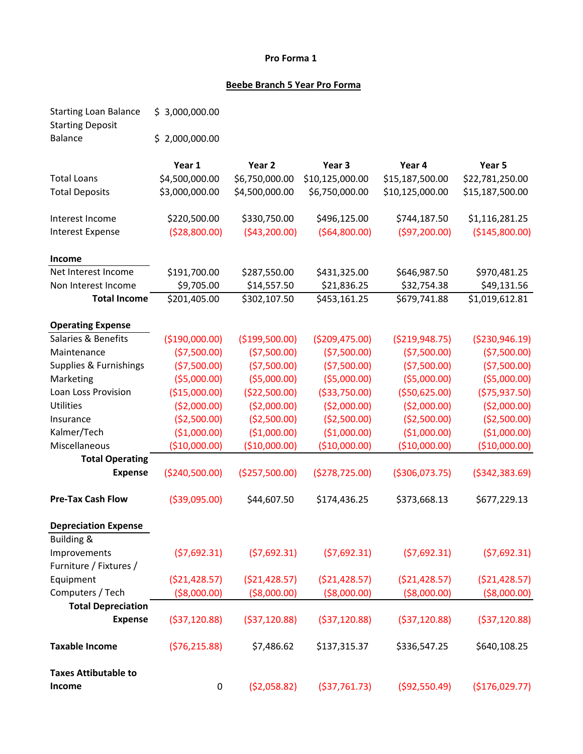### **Pro Forma 1**

## **Beebe Branch 5 Year Pro Forma**

| <b>Starting Loan Balance</b><br><b>Starting Deposit</b> | \$3,000,000.00  |                   |                 |                  |                  |
|---------------------------------------------------------|-----------------|-------------------|-----------------|------------------|------------------|
| <b>Balance</b>                                          | \$2,000,000.00  |                   |                 |                  |                  |
|                                                         | Year 1          | Year <sub>2</sub> | Year 3          | Year 4           | Year 5           |
| <b>Total Loans</b>                                      | \$4,500,000.00  | \$6,750,000.00    | \$10,125,000.00 | \$15,187,500.00  | \$22,781,250.00  |
| <b>Total Deposits</b>                                   | \$3,000,000.00  | \$4,500,000.00    | \$6,750,000.00  | \$10,125,000.00  | \$15,187,500.00  |
| Interest Income                                         | \$220,500.00    | \$330,750.00      | \$496,125.00    | \$744,187.50     | \$1,116,281.25   |
| <b>Interest Expense</b>                                 | ( \$28, 800.00) | (\$43,200.00)     | ( \$64, 800.00) | (597, 200.00)    | ( \$145, 800.00) |
| <b>Income</b>                                           |                 |                   |                 |                  |                  |
| Net Interest Income                                     | \$191,700.00    | \$287,550.00      | \$431,325.00    | \$646,987.50     | \$970,481.25     |
| Non Interest Income                                     | \$9,705.00      | \$14,557.50       | \$21,836.25     | \$32,754.38      | \$49,131.56      |
| <b>Total Income</b>                                     | \$201,405.00    | \$302,107.50      | \$453,161.25    | \$679,741.88     | \$1,019,612.81   |
| <b>Operating Expense</b>                                |                 |                   |                 |                  |                  |
| Salaries & Benefits                                     | ( \$190,000.00) | ( \$199,500.00)   | ( \$209,475.00) | ( \$219, 948.75) | ( \$230, 946.19) |
| Maintenance                                             | ( \$7,500.00)   | ( \$7,500.00)     | (57,500.00)     | (57,500.00)      | (57,500.00)      |
| Supplies & Furnishings                                  | (57,500.00)     | ( \$7,500.00)     | (57,500.00)     | (57,500.00)      | (57,500.00)      |
| Marketing                                               | ( \$5,000.00)   | ( \$5,000.00)     | ( \$5,000.00)   | ( \$5,000.00)    | ( \$5,000.00)    |
| Loan Loss Provision                                     | ( \$15,000.00)  | (\$22,500.00)     | ( \$33,750.00)  | ( \$50,625.00)   | (575, 937.50)    |
| <b>Utilities</b>                                        | ( \$2,000.00)   | ( \$2,000.00)     | ( \$2,000.00)   | ( \$2,000.00)    | ( \$2,000.00)    |
| Insurance                                               | ( \$2,500.00)   | ( \$2,500.00)     | ( \$2,500.00)   | ( \$2,500.00)    | ( \$2,500.00)    |
| Kalmer/Tech                                             | (\$1,000.00)    | (\$1,000.00)      | (\$1,000.00)    | (\$1,000.00)     | (\$1,000.00)     |
| Miscellaneous                                           | ( \$10,000.00)  | (\$10,000.00)     | (\$10,000.00)   | (\$10,000.00)    | (\$10,000.00)    |
| <b>Total Operating</b>                                  |                 |                   |                 |                  |                  |
| <b>Expense</b>                                          | ( \$240,500.00) | (\$257,500.00)    | (\$278,725.00)  | ( \$306,073.75)  | ( \$342, 383.69) |
| <b>Pre-Tax Cash Flow</b>                                | ( \$39,095.00)  | \$44,607.50       | \$174,436.25    | \$373,668.13     | \$677,229.13     |
| <b>Depreciation Expense</b>                             |                 |                   |                 |                  |                  |
| <b>Building &amp;</b>                                   |                 |                   |                 |                  |                  |
| Improvements                                            | (57,692.31)     | (57,692.31)       | (57,692.31)     | (57,692.31)      | (57,692.31)      |
| Furniture / Fixtures /                                  |                 |                   |                 |                  |                  |
| Equipment                                               | ( \$21,428.57)  | ( \$21,428.57)    | ( \$21,428.57)  | ( \$21,428.57)   | ( \$21,428.57)   |
| Computers / Tech                                        | ( \$8,000.00)   | ( \$8,000.00)     | ( \$8,000.00)   | ( \$8,000.00)    | ( \$8,000.00)    |
| <b>Total Depreciation</b>                               |                 |                   |                 |                  |                  |
| <b>Expense</b>                                          | ( \$37, 120.88) | ( \$37, 120.88)   | ( \$37,120.88)  | ( \$37, 120.88)  | ( \$37,120.88)   |
| <b>Taxable Income</b>                                   | (576, 215.88)   | \$7,486.62        | \$137,315.37    | \$336,547.25     | \$640,108.25     |
| <b>Taxes Attibutable to</b>                             |                 |                   |                 |                  |                  |
| Income                                                  | 0               | ( \$2,058.82)     | ( \$37,761.73)  | ( \$92,550.49)   | ( \$176,029.77)  |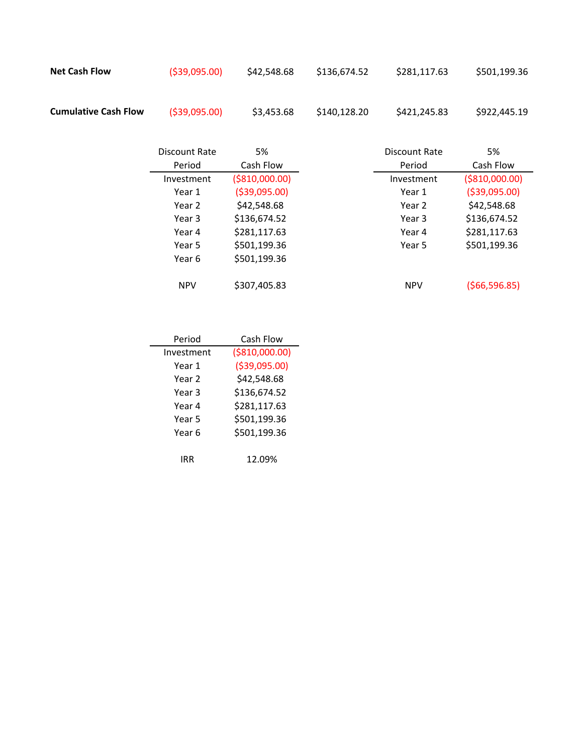| <b>Net Cash Flow</b>        | ( \$39,095.00) | \$42,548.68 | \$136,674.52 | \$281,117.63 | \$501,199.36 |
|-----------------------------|----------------|-------------|--------------|--------------|--------------|
| <b>Cumulative Cash Flow</b> | ( \$39,095.00) | \$3,453.68  | \$140,128,20 | \$421,245.83 | \$922,445.19 |

| Discount Rate | 5%              | Discount Rate | 5%              |
|---------------|-----------------|---------------|-----------------|
| Period        | Cash Flow       | Period        | Cash Flow       |
| Investment    | ( \$810,000.00) | Investment    | ( \$810,000.00) |
| Year 1        | ( \$39,095.00)  | Year 1        | ( \$39,095.00)  |
| Year 2        | \$42,548.68     | Year 2        | \$42,548.68     |
| Year 3        | \$136,674.52    | Year 3        | \$136,674.52    |
| Year 4        | \$281,117.63    | Year 4        | \$281,117.63    |
| Year 5        | \$501,199.36    | Year 5        | \$501,199.36    |
| Year 6        | \$501,199.36    |               |                 |
|               |                 |               |                 |
| <b>NPV</b>    | \$307,405.83    | <b>NPV</b>    | ( \$66, 596.85) |

| Period     | Cash Flow       |
|------------|-----------------|
| Investment | ( \$810,000.00) |
| Year 1     | ( \$39,095.00)  |
| Year 2     | \$42,548.68     |
| Year 3     | \$136,674.52    |
| Year 4     | \$281,117.63    |
| Year 5     | \$501,199.36    |
| Year 6     | \$501,199.36    |
|            |                 |
| IRR        | 12.09%          |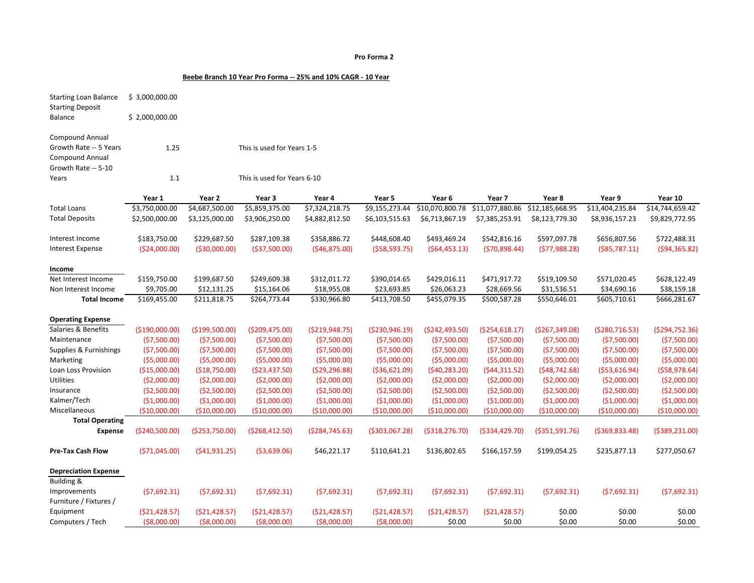#### **Pro Forma 2**

#### **Beebe Branch 10 Year Pro Forma -- 25% and 10% CAGR - 10 Year**

| <b>Starting Loan Balance</b><br><b>Starting Deposit</b> | \$3,000,000.00  |                |                             |                  |                  |                  |                  |                  |                  |                  |
|---------------------------------------------------------|-----------------|----------------|-----------------------------|------------------|------------------|------------------|------------------|------------------|------------------|------------------|
| <b>Balance</b>                                          | \$2,000,000.00  |                |                             |                  |                  |                  |                  |                  |                  |                  |
|                                                         |                 |                |                             |                  |                  |                  |                  |                  |                  |                  |
| <b>Compound Annual</b>                                  |                 |                |                             |                  |                  |                  |                  |                  |                  |                  |
| Growth Rate -- 5 Years                                  | 1.25            |                | This is used for Years 1-5  |                  |                  |                  |                  |                  |                  |                  |
| <b>Compound Annual</b>                                  |                 |                |                             |                  |                  |                  |                  |                  |                  |                  |
| Growth Rate -- 5-10                                     |                 |                |                             |                  |                  |                  |                  |                  |                  |                  |
| Years                                                   | 1.1             |                | This is used for Years 6-10 |                  |                  |                  |                  |                  |                  |                  |
|                                                         | Year 1          | Year 2         | Year 3                      | Year 4           | Year 5           | Year 6           | Year 7           | Year 8           | Year 9           | Year 10          |
| <b>Total Loans</b>                                      | \$3,750,000.00  | \$4,687,500.00 | \$5,859,375.00              | \$7,324,218.75   | \$9,155,273.44   | \$10,070,800.78  | \$11,077,880.86  | \$12,185,668.95  | \$13,404,235.84  | \$14,744,659.42  |
| <b>Total Deposits</b>                                   | \$2,500,000.00  | \$3,125,000.00 | \$3,906,250.00              | \$4,882,812.50   | \$6,103,515.63   | \$6,713,867.19   | \$7,385,253.91   | \$8,123,779.30   | \$8,936,157.23   | \$9,829,772.95   |
|                                                         |                 |                |                             |                  |                  |                  |                  |                  |                  |                  |
| Interest Income                                         | \$183,750.00    | \$229,687.50   | \$287,109.38                | \$358,886.72     | \$448,608.40     | \$493,469.24     | \$542,816.16     | \$597,097.78     | \$656,807.56     | \$722,488.31     |
| <b>Interest Expense</b>                                 | (\$24,000.00)   | ( \$30,000.00) | ( \$37,500.00)              | ( \$46, 875.00)  | ( \$58, 593.75)  | ( \$64,453.13)   | ( \$70, 898.44)  | (577,988.28)     | ( \$85,787.11)   | ( \$94, 365.82)  |
| Income                                                  |                 |                |                             |                  |                  |                  |                  |                  |                  |                  |
| Net Interest Income                                     | \$159,750.00    | \$199,687.50   | \$249,609.38                | \$312,011.72     | \$390,014.65     | \$429,016.11     | \$471,917.72     | \$519,109.50     | \$571,020.45     | \$628,122.49     |
| Non Interest Income                                     | \$9,705.00      | \$12,131.25    | \$15,164.06                 | \$18,955.08      | \$23,693.85      | \$26,063.23      | \$28,669.56      | \$31,536.51      | \$34,690.16      | \$38,159.18      |
| <b>Total Income</b>                                     | \$169,455.00    | \$211,818.75   | \$264,773.44                | \$330,966.80     | \$413,708.50     | \$455,079.35     | \$500,587.28     | \$550,646.01     | \$605,710.61     | \$666,281.67     |
| <b>Operating Expense</b>                                |                 |                |                             |                  |                  |                  |                  |                  |                  |                  |
| Salaries & Benefits                                     | (\$190,000.00)  | (\$199,500.00) | ( \$209,475.00)             | ( \$219, 948.75) | ( \$230, 946.19) | (5242, 493.50)   | ( \$254, 618.17) | ( \$267, 349.08) | (5280, 716.53)   | ( \$294, 752.36) |
| Maintenance                                             | ( \$7,500.00)   | ( \$7,500.00)  | ( \$7,500.00)               | ( \$7,500.00)    | (57,500.00)      | (57,500.00)      | (\$7,500.00)     | ( \$7,500.00)    | (57,500.00)      | ( \$7,500.00)    |
| Supplies & Furnishings                                  | ( \$7,500.00)   | (57,500.00)    | ( \$7,500.00)               | (57,500.00)      | (57,500.00)      | (57,500.00)      | (\$7,500.00)     | (57,500.00)      | (57,500.00)      | ( \$7,500.00)    |
| Marketing                                               | ( \$5,000.00)   | ( \$5,000.00)  | ( \$5,000.00)               | ( \$5,000.00)    | ( \$5,000.00)    | ( \$5,000.00)    | (55,000.00)      | ( \$5,000.00)    | ( \$5,000.00)    | ( \$5,000.00)    |
| Loan Loss Provision                                     | (\$15,000.00)   | (\$18,750.00)  | ( \$23,437.50)              | ( \$29, 296.88)  | ( \$36, 621.09)  | ( \$40, 283.20)  | (544, 311.52)    | ( \$48, 742.68)  | ( \$53,616.94)   | ( \$58, 978.64)  |
| Utilities                                               | ( \$2,000.00)   | ( \$2,000.00)  | ( \$2,000.00)               | ( \$2,000.00)    | ( \$2,000.00)    | ( \$2,000.00)    | ( \$2,000.00)    | ( \$2,000.00)    | (52,000.00)      | ( \$2,000.00)    |
| Insurance                                               | ( \$2,500.00)   | ( \$2,500.00)  | (\$2,500.00)                | ( \$2,500.00)    | (\$2,500.00)     | ( \$2,500.00)    | (\$2,500.00)     | (\$2,500.00)     | ( \$2,500.00)    | ( \$2,500.00)    |
| Kalmer/Tech                                             | (\$1,000.00)    | (\$1,000.00)   | (\$1,000.00)                | (\$1,000.00)     | (\$1,000.00)     | (\$1,000.00)     | (\$1,000.00)     | (\$1,000.00)     | (\$1,000.00)     | (\$1,000.00)     |
| Miscellaneous                                           | (\$10,000.00)   | (\$10,000.00)  | (\$10,000.00)               | (\$10,000.00)    | (\$10,000.00)    | (\$10,000.00)    | (\$10,000.00)    | (\$10,000.00)    | (\$10,000.00)    | (\$10,000.00)    |
| <b>Total Operating</b>                                  |                 |                |                             |                  |                  |                  |                  |                  |                  |                  |
| <b>Expense</b>                                          | ( \$240,500.00) | (\$253,750.00) | ( \$268,412.50)             | ( \$284, 745.63) | ( \$303,067.28)  | ( \$318, 276.70) | ( \$334, 429.70) | ( \$351, 591.76) | ( \$369, 833.48) | ( \$389, 231.00) |
| <b>Pre-Tax Cash Flow</b>                                | ( \$71,045.00)  | (541, 931.25)  | ( \$3,639.06)               | \$46,221.17      | \$110,641.21     | \$136,802.65     | \$166,157.59     | \$199,054.25     | \$235,877.13     | \$277,050.67     |
|                                                         |                 |                |                             |                  |                  |                  |                  |                  |                  |                  |
| <b>Depreciation Expense</b>                             |                 |                |                             |                  |                  |                  |                  |                  |                  |                  |
| <b>Building &amp;</b>                                   |                 |                |                             |                  |                  |                  |                  |                  |                  |                  |
| Improvements                                            | (57,692.31)     | (57,692.31)    | (57,692.31)                 | (57,692.31)      | (57,692.31)      | (57,692.31)      | (57,692.31)      | (57,692.31)      | (57,692.31)      | (57,692.31)      |
| Furniture / Fixtures /                                  |                 |                |                             |                  |                  |                  |                  |                  |                  |                  |
| Equipment                                               | ( \$21,428.57)  | (521, 428.57)  | (521, 428.57)               | (\$21,428.57)    | ( \$21,428.57)   | ( \$21,428.57)   | ( \$21,428.57)   | \$0.00           | \$0.00           | \$0.00           |
| Computers / Tech                                        | ( \$8,000.00)   | ( \$8,000.00)  | ( \$8,000.00)               | ( \$8,000.00)    | ( \$8,000.00)    | \$0.00           | \$0.00           | \$0.00           | \$0.00           | \$0.00           |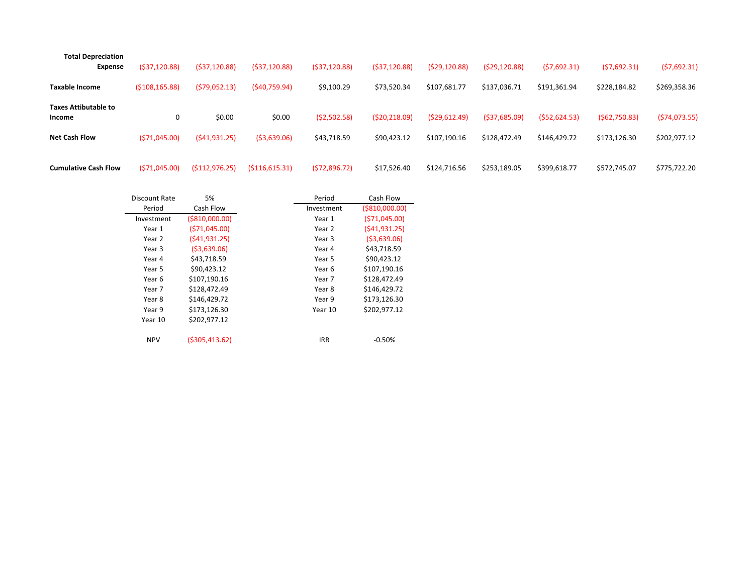| <b>Total Depreciation</b><br><b>Expense</b>                   | (\$37,120.88)     | (537, 120.88)           | (537, 120.88)         | (537, 120.88)              | (537, 120.88)                | (529, 120.88)                 | (529, 120.88)                  | (57,692.31)                   | (57,692.31)                  | (57,692.31)                   |
|---------------------------------------------------------------|-------------------|-------------------------|-----------------------|----------------------------|------------------------------|-------------------------------|--------------------------------|-------------------------------|------------------------------|-------------------------------|
| <b>Taxable Income</b>                                         | (5108, 165.88)    | (579,052.13)            | (540,759.94)          | \$9,100.29                 | \$73,520.34                  | \$107,681.77                  | \$137,036.71                   | \$191,361.94                  | \$228,184.82                 | \$269,358.36                  |
| <b>Taxes Attibutable to</b><br>Income<br><b>Net Cash Flow</b> | 0<br>(571,045.00) | \$0.00<br>(541, 931.25) | \$0.00<br>(53,639.06) | (52,502.58)<br>\$43,718.59 | (520, 218.09)<br>\$90,423.12 | (529, 612.49)<br>\$107,190.16 | ( \$37,685.09)<br>\$128,472.49 | (552, 624.53)<br>\$146,429.72 | (562,750.83)<br>\$173,126.30 | (574, 073.55)<br>\$202,977.12 |
| <b>Cumulative Cash Flow</b>                                   | (571,045.00)      | (\$112,976.25)          | ( \$116, 615.31)      | (572,896.72)               | \$17,526.40                  | \$124,716.56                  | \$253,189.05                   | \$399,618.77                  | \$572,745.07                 | \$775,722.20                  |

| Discount Rate | 5%              | Period     | Cash Flow       |
|---------------|-----------------|------------|-----------------|
| Period        | Cash Flow       | Investment | ( \$810,000.00) |
| Investment    | ( \$810,000.00) | Year 1     | (571,045.00)    |
| Year 1        | (571,045.00)    | Year 2     | (541, 931.25)   |
| Year 2        | (541, 931.25)   | Year 3     | ( \$3,639.06)   |
| Year 3        | (53,639.06)     | Year 4     | \$43,718.59     |
| Year 4        | \$43,718.59     | Year 5     | \$90,423.12     |
| Year 5        | \$90,423.12     | Year 6     | \$107,190.16    |
| Year 6        | \$107,190.16    | Year 7     | \$128,472.49    |
| Year 7        | \$128,472.49    | Year 8     | \$146,429.72    |
| Year 8        | \$146,429.72    | Year 9     | \$173,126.30    |
| Year 9        | \$173,126.30    | Year 10    | \$202,977.12    |
| Year 10       | \$202.977.12    |            |                 |
| <b>NPV</b>    | ( \$305,413.62) | <b>IRR</b> | $-0.50%$        |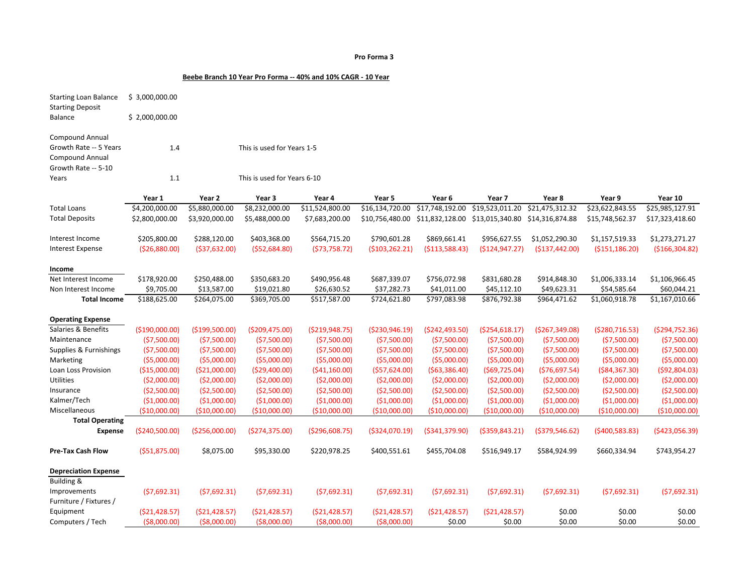#### **Pro Forma 3**

#### **Beebe Branch 10 Year Pro Forma -- 40% and 10% CAGR - 10 Year**

| <b>Starting Loan Balance</b><br><b>Starting Deposit</b> | \$3,000,000.00  |                 |                             |                  |                  |                  |                  |                  |                  |                  |
|---------------------------------------------------------|-----------------|-----------------|-----------------------------|------------------|------------------|------------------|------------------|------------------|------------------|------------------|
| <b>Balance</b>                                          | \$2,000,000.00  |                 |                             |                  |                  |                  |                  |                  |                  |                  |
| <b>Compound Annual</b>                                  |                 |                 |                             |                  |                  |                  |                  |                  |                  |                  |
| Growth Rate -- 5 Years                                  | 1.4             |                 | This is used for Years 1-5  |                  |                  |                  |                  |                  |                  |                  |
| <b>Compound Annual</b>                                  |                 |                 |                             |                  |                  |                  |                  |                  |                  |                  |
| Growth Rate -- 5-10                                     |                 |                 |                             |                  |                  |                  |                  |                  |                  |                  |
| Years                                                   | 1.1             |                 | This is used for Years 6-10 |                  |                  |                  |                  |                  |                  |                  |
|                                                         | Year 1          | Year 2          | Year 3                      | Year 4           | Year 5           | Year 6           | Year 7           | Year 8           | Year 9           | Year 10          |
| <b>Total Loans</b>                                      | \$4,200,000.00  | \$5,880,000.00  | \$8,232,000.00              | \$11,524,800.00  | \$16,134,720.00  | \$17,748,192.00  | \$19,523,011.20  | \$21,475,312.32  | \$23,622,843.55  | \$25,985,127.91  |
| <b>Total Deposits</b>                                   | \$2,800,000.00  | \$3,920,000.00  | \$5,488,000.00              | \$7,683,200.00   | \$10,756,480.00  | \$11,832,128.00  | \$13,015,340.80  | \$14,316,874.88  | \$15,748,562.37  | \$17,323,418.60  |
|                                                         |                 |                 |                             |                  |                  |                  |                  |                  |                  |                  |
| Interest Income                                         | \$205,800.00    | \$288,120.00    | \$403,368.00                | \$564,715.20     | \$790,601.28     | \$869,661.41     | \$956,627.55     | \$1,052,290.30   | \$1,157,519.33   | \$1,273,271.27   |
| <b>Interest Expense</b>                                 | (\$26,880.00)   | ( \$37, 632.00) | ( \$52,684.80)              | ( \$73,758.72)   | ( \$103, 262.21) | ( \$113,588.43)  | (\$124,947.27)   | (\$137,442.00)   | ( \$151, 186.20) | ( \$166, 304.82) |
|                                                         |                 |                 |                             |                  |                  |                  |                  |                  |                  |                  |
| Income                                                  |                 |                 |                             |                  |                  |                  |                  |                  |                  |                  |
| Net Interest Income                                     | \$178,920.00    | \$250,488.00    | \$350,683.20                | \$490,956.48     | \$687,339.07     | \$756,072.98     | \$831,680.28     | \$914,848.30     | \$1,006,333.14   | \$1,106,966.45   |
| Non Interest Income                                     | \$9,705.00      | \$13,587.00     | \$19,021.80                 | \$26,630.52      | \$37,282.73      | \$41,011.00      | \$45,112.10      | \$49,623.31      | \$54,585.64      | \$60,044.21      |
| <b>Total Income</b>                                     | \$188,625.00    | \$264,075.00    | \$369,705.00                | \$517,587.00     | \$724,621.80     | \$797,083.98     | \$876,792.38     | \$964,471.62     | \$1,060,918.78   | \$1,167,010.66   |
| <b>Operating Expense</b>                                |                 |                 |                             |                  |                  |                  |                  |                  |                  |                  |
| Salaries & Benefits                                     | (\$190,000.00)  | (\$199,500.00)  | ( \$209,475.00)             | ( \$219, 948.75) | ( \$230, 946.19) | ( \$242,493.50)  | ( \$254, 618.17) | (\$267,349.08)   | ( \$280, 716.53) | ( \$294, 752.36) |
| Maintenance                                             | ( \$7,500.00)   | ( \$7,500.00)   | (57,500.00)                 | ( \$7,500.00)    | ( \$7,500.00)    | (57,500.00)      | ( \$7,500.00)    | (57,500.00)      | ( \$7,500.00)    | ( \$7,500.00)    |
| Supplies & Furnishings                                  | (57,500.00)     | (57,500.00)     | (57,500.00)                 | (57,500.00)      | (57,500.00)      | (57,500.00)      | ( \$7,500.00)    | (57,500.00)      | (57,500.00)      | (57,500.00)      |
| Marketing                                               | ( \$5,000.00)   | (55,000.00)     | ( \$5,000.00)               | ( \$5,000.00)    | ( \$5,000.00)    | ( \$5,000.00)    | (55,000.00)      | ( \$5,000.00)    | ( \$5,000.00)    | ( \$5,000.00)    |
| Loan Loss Provision                                     | (\$15,000.00)   | (\$21,000.00)   | ( \$29,400.00)              | ( \$41,160.00)   | ( \$57,624.00)   | ( \$63, 386.40)  | ( \$69, 725.04)  | ( \$76, 697.54)  | ( \$84, 367.30)  | ( \$92, 804.03)  |
| Utilities                                               | ( \$2,000.00)   | ( \$2,000.00)   | ( \$2,000.00)               | ( \$2,000.00)    | ( \$2,000.00)    | ( \$2,000.00)    | (52,000.00)      | ( \$2,000.00)    | ( \$2,000.00)    | ( \$2,000.00)    |
| Insurance                                               | ( \$2,500.00)   | ( \$2,500.00)   | (\$2,500.00)                | ( \$2,500.00)    | (\$2,500.00)     | (\$2,500.00)     | (\$2,500.00)     | (\$2,500.00)     | ( \$2,500.00)    | ( \$2,500.00)    |
| Kalmer/Tech                                             | (\$1,000.00)    | (\$1,000.00)    | (\$1,000.00)                | (\$1,000.00)     | (\$1,000.00)     | (\$1,000.00)     | (\$1,000.00)     | (\$1,000.00)     | (\$1,000.00)     | (\$1,000.00)     |
| Miscellaneous                                           | (\$10,000.00)   | (\$10,000.00)   | (\$10,000.00)               | (\$10,000.00)    | (\$10,000.00)    | (\$10,000.00)    | (\$10,000.00)    | (\$10,000.00)    | (\$10,000.00)    | (\$10,000.00)    |
| <b>Total Operating</b>                                  |                 |                 |                             |                  |                  |                  |                  |                  |                  |                  |
| <b>Expense</b>                                          | ( \$240,500.00) | ( \$256,000.00) | (\$274,375.00)              | ( \$296, 608.75) | ( \$324,070.19)  | ( \$341, 379.90) | ( \$359, 843.21) | ( \$379, 546.62) | ( \$400, 583.83) | (\$423,056.39)   |
| Pre-Tax Cash Flow                                       | ( \$51, 875.00) | \$8,075.00      | \$95,330.00                 | \$220,978.25     | \$400,551.61     | \$455,704.08     | \$516,949.17     | \$584,924.99     | \$660,334.94     | \$743,954.27     |
| <b>Depreciation Expense</b>                             |                 |                 |                             |                  |                  |                  |                  |                  |                  |                  |
| Building &                                              |                 |                 |                             |                  |                  |                  |                  |                  |                  |                  |
| Improvements                                            | (57,692.31)     | (57,692.31)     | (57,692.31)                 | (57,692.31)      | (57,692.31)      | (57,692.31)      | (57,692.31)      | (57,692.31)      | (57,692.31)      | (57,692.31)      |
| Furniture / Fixtures /                                  |                 |                 |                             |                  |                  |                  |                  |                  |                  |                  |
| Equipment                                               | ( \$21,428.57)  | (\$21,428.57)   | (521, 428.57)               | ( \$21,428.57)   | ( \$21,428.57)   | ( \$21,428.57)   | ( \$21,428.57)   | \$0.00           | \$0.00           | \$0.00           |
| Computers / Tech                                        | ( \$8,000.00)   | ( \$8,000.00)   | ( \$8,000.00)               | (\$8,000.00)     | ( \$8,000.00)    | \$0.00           | \$0.00           | \$0.00           | \$0.00           | \$0.00           |